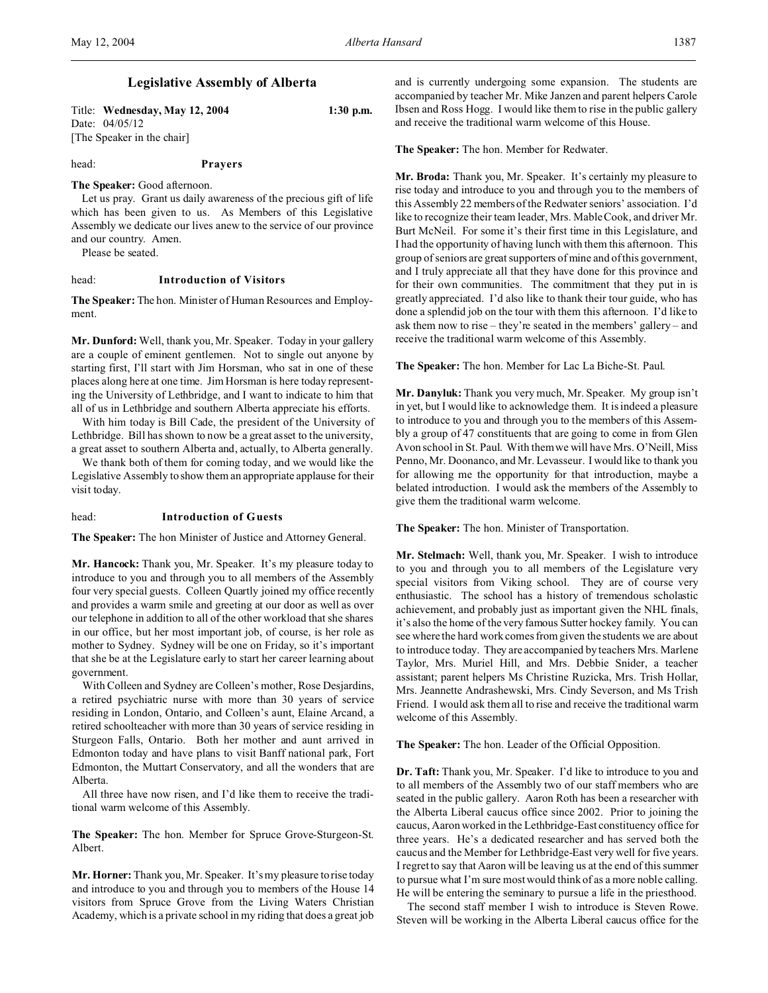# **Legislative Assembly of Alberta**

Title: **Wednesday, May 12, 2004 1:30 p.m.** Date: 04/05/12 [The Speaker in the chair]

head: **Prayers**

#### **The Speaker:** Good afternoon.

Let us pray. Grant us daily awareness of the precious gift of life which has been given to us. As Members of this Legislative Assembly we dedicate our lives anew to the service of our province and our country. Amen.

Please be seated.

# head: **Introduction of Visitors**

**The Speaker:** The hon. Minister of Human Resources and Employment.

**Mr. Dunford:** Well, thank you, Mr. Speaker. Today in your gallery are a couple of eminent gentlemen. Not to single out anyone by starting first, I'll start with Jim Horsman, who sat in one of these places along here at one time. Jim Horsman is here today representing the University of Lethbridge, and I want to indicate to him that all of us in Lethbridge and southern Alberta appreciate his efforts.

With him today is Bill Cade, the president of the University of Lethbridge. Bill has shown to now be a great asset to the university, a great asset to southern Alberta and, actually, to Alberta generally.

We thank both of them for coming today, and we would like the Legislative Assembly to show them an appropriate applause for their visit today.

## head: **Introduction of Guests**

**The Speaker:** The hon Minister of Justice and Attorney General.

**Mr. Hancock:** Thank you, Mr. Speaker. It's my pleasure today to introduce to you and through you to all members of the Assembly four very special guests. Colleen Quartly joined my office recently and provides a warm smile and greeting at our door as well as over our telephone in addition to all of the other workload that she shares in our office, but her most important job, of course, is her role as mother to Sydney. Sydney will be one on Friday, so it's important that she be at the Legislature early to start her career learning about government.

With Colleen and Sydney are Colleen's mother, Rose Desjardins, a retired psychiatric nurse with more than 30 years of service residing in London, Ontario, and Colleen's aunt, Elaine Arcand, a retired schoolteacher with more than 30 years of service residing in Sturgeon Falls, Ontario. Both her mother and aunt arrived in Edmonton today and have plans to visit Banff national park, Fort Edmonton, the Muttart Conservatory, and all the wonders that are Alberta.

All three have now risen, and I'd like them to receive the traditional warm welcome of this Assembly.

**The Speaker:** The hon. Member for Spruce Grove-Sturgeon-St. Albert.

**Mr. Horner:** Thank you, Mr. Speaker. It's my pleasure to rise today and introduce to you and through you to members of the House 14 visitors from Spruce Grove from the Living Waters Christian Academy, which is a private school in my riding that does a great job and is currently undergoing some expansion. The students are accompanied by teacher Mr. Mike Janzen and parent helpers Carole Ibsen and Ross Hogg. I would like them to rise in the public gallery and receive the traditional warm welcome of this House.

**The Speaker:** The hon. Member for Redwater.

**Mr. Broda:** Thank you, Mr. Speaker. It's certainly my pleasure to rise today and introduce to you and through you to the members of this Assembly 22 members of the Redwater seniors' association. I'd like to recognize their team leader, Mrs. Mable Cook, and driver Mr. Burt McNeil. For some it's their first time in this Legislature, and I had the opportunity of having lunch with them this afternoon. This group of seniors are great supporters of mine and of this government, and I truly appreciate all that they have done for this province and for their own communities. The commitment that they put in is greatly appreciated. I'd also like to thank their tour guide, who has done a splendid job on the tour with them this afternoon. I'd like to ask them now to rise – they're seated in the members' gallery – and receive the traditional warm welcome of this Assembly.

**The Speaker:** The hon. Member for Lac La Biche-St. Paul.

**Mr. Danyluk:** Thank you very much, Mr. Speaker. My group isn't in yet, but I would like to acknowledge them. It is indeed a pleasure to introduce to you and through you to the members of this Assembly a group of 47 constituents that are going to come in from Glen Avon school in St. Paul. With them we will have Mrs. O'Neill, Miss Penno, Mr. Doonanco, and Mr. Levasseur. I would like to thank you for allowing me the opportunity for that introduction, maybe a belated introduction. I would ask the members of the Assembly to give them the traditional warm welcome.

**The Speaker:** The hon. Minister of Transportation.

**Mr. Stelmach:** Well, thank you, Mr. Speaker. I wish to introduce to you and through you to all members of the Legislature very special visitors from Viking school. They are of course very enthusiastic. The school has a history of tremendous scholastic achievement, and probably just as important given the NHL finals, it's also the home of the very famous Sutter hockey family. You can see where the hard work comes from given the students we are about to introduce today. They are accompanied by teachers Mrs. Marlene Taylor, Mrs. Muriel Hill, and Mrs. Debbie Snider, a teacher assistant; parent helpers Ms Christine Ruzicka, Mrs. Trish Hollar, Mrs. Jeannette Andrashewski, Mrs. Cindy Severson, and Ms Trish Friend. I would ask them all to rise and receive the traditional warm welcome of this Assembly.

**The Speaker:** The hon. Leader of the Official Opposition.

**Dr. Taft:** Thank you, Mr. Speaker. I'd like to introduce to you and to all members of the Assembly two of our staff members who are seated in the public gallery. Aaron Roth has been a researcher with the Alberta Liberal caucus office since 2002. Prior to joining the caucus, Aaron worked in the Lethbridge-East constituency office for three years. He's a dedicated researcher and has served both the caucus and the Member for Lethbridge-East very well for five years. I regret to say that Aaron will be leaving us at the end of this summer to pursue what I'm sure most would think of as a more noble calling. He will be entering the seminary to pursue a life in the priesthood.

The second staff member I wish to introduce is Steven Rowe. Steven will be working in the Alberta Liberal caucus office for the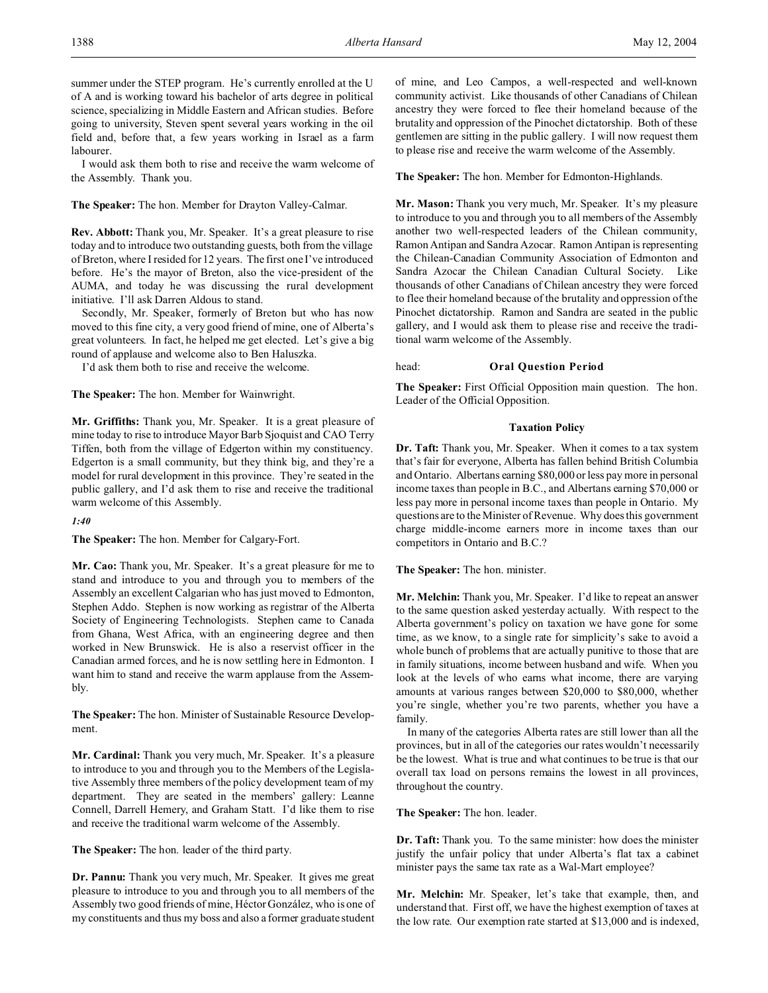summer under the STEP program. He's currently enrolled at the U of A and is working toward his bachelor of arts degree in political science, specializing in Middle Eastern and African studies. Before going to university, Steven spent several years working in the oil field and, before that, a few years working in Israel as a farm labourer.

I would ask them both to rise and receive the warm welcome of the Assembly. Thank you.

**The Speaker:** The hon. Member for Drayton Valley-Calmar.

**Rev. Abbott:** Thank you, Mr. Speaker. It's a great pleasure to rise today and to introduce two outstanding guests, both from the village of Breton, where I resided for 12 years. The first one I've introduced before. He's the mayor of Breton, also the vice-president of the AUMA, and today he was discussing the rural development initiative. I'll ask Darren Aldous to stand.

Secondly, Mr. Speaker, formerly of Breton but who has now moved to this fine city, a very good friend of mine, one of Alberta's great volunteers. In fact, he helped me get elected. Let's give a big round of applause and welcome also to Ben Haluszka.

I'd ask them both to rise and receive the welcome.

**The Speaker:** The hon. Member for Wainwright.

**Mr. Griffiths:** Thank you, Mr. Speaker. It is a great pleasure of mine today to rise to introduce Mayor Barb Sjoquist and CAO Terry Tiffen, both from the village of Edgerton within my constituency. Edgerton is a small community, but they think big, and they're a model for rural development in this province. They're seated in the public gallery, and I'd ask them to rise and receive the traditional warm welcome of this Assembly.

#### *1:40*

**The Speaker:** The hon. Member for Calgary-Fort.

**Mr. Cao:** Thank you, Mr. Speaker. It's a great pleasure for me to stand and introduce to you and through you to members of the Assembly an excellent Calgarian who has just moved to Edmonton, Stephen Addo. Stephen is now working as registrar of the Alberta Society of Engineering Technologists. Stephen came to Canada from Ghana, West Africa, with an engineering degree and then worked in New Brunswick. He is also a reservist officer in the Canadian armed forces, and he is now settling here in Edmonton. I want him to stand and receive the warm applause from the Assembly.

**The Speaker:** The hon. Minister of Sustainable Resource Development.

**Mr. Cardinal:** Thank you very much, Mr. Speaker. It's a pleasure to introduce to you and through you to the Members of the Legislative Assembly three members of the policy development team of my department. They are seated in the members' gallery: Leanne Connell, Darrell Hemery, and Graham Statt. I'd like them to rise and receive the traditional warm welcome of the Assembly.

**The Speaker:** The hon. leader of the third party.

**Dr. Pannu:** Thank you very much, Mr. Speaker. It gives me great pleasure to introduce to you and through you to all members of the Assembly two good friends of mine, Héctor González, who is one of my constituents and thus my boss and also a former graduate student of mine, and Leo Campos, a well-respected and well-known community activist. Like thousands of other Canadians of Chilean ancestry they were forced to flee their homeland because of the brutality and oppression of the Pinochet dictatorship. Both of these gentlemen are sitting in the public gallery. I will now request them to please rise and receive the warm welcome of the Assembly.

**The Speaker:** The hon. Member for Edmonton-Highlands.

**Mr. Mason:** Thank you very much, Mr. Speaker. It's my pleasure to introduce to you and through you to all members of the Assembly another two well-respected leaders of the Chilean community, Ramon Antipan and Sandra Azocar. Ramon Antipan is representing the Chilean-Canadian Community Association of Edmonton and Sandra Azocar the Chilean Canadian Cultural Society. Like thousands of other Canadians of Chilean ancestry they were forced to flee their homeland because of the brutality and oppression of the Pinochet dictatorship. Ramon and Sandra are seated in the public gallery, and I would ask them to please rise and receive the traditional warm welcome of the Assembly.

### head: **Oral Question Period**

**The Speaker:** First Official Opposition main question. The hon. Leader of the Official Opposition.

# **Taxation Policy**

**Dr. Taft:** Thank you, Mr. Speaker. When it comes to a tax system that's fair for everyone, Alberta has fallen behind British Columbia and Ontario. Albertans earning \$80,000 or less pay more in personal income taxes than people in B.C., and Albertans earning \$70,000 or less pay more in personal income taxes than people in Ontario. My questions are to the Minister of Revenue. Why does this government charge middle-income earners more in income taxes than our competitors in Ontario and B.C.?

**The Speaker:** The hon. minister.

**Mr. Melchin:** Thank you, Mr. Speaker. I'd like to repeat an answer to the same question asked yesterday actually. With respect to the Alberta government's policy on taxation we have gone for some time, as we know, to a single rate for simplicity's sake to avoid a whole bunch of problems that are actually punitive to those that are in family situations, income between husband and wife. When you look at the levels of who earns what income, there are varying amounts at various ranges between \$20,000 to \$80,000, whether you're single, whether you're two parents, whether you have a family.

In many of the categories Alberta rates are still lower than all the provinces, but in all of the categories our rates wouldn't necessarily be the lowest. What is true and what continues to be true is that our overall tax load on persons remains the lowest in all provinces, throughout the country.

#### **The Speaker:** The hon. leader.

**Dr. Taft:** Thank you. To the same minister: how does the minister justify the unfair policy that under Alberta's flat tax a cabinet minister pays the same tax rate as a Wal-Mart employee?

**Mr. Melchin:** Mr. Speaker, let's take that example, then, and understand that. First off, we have the highest exemption of taxes at the low rate. Our exemption rate started at \$13,000 and is indexed,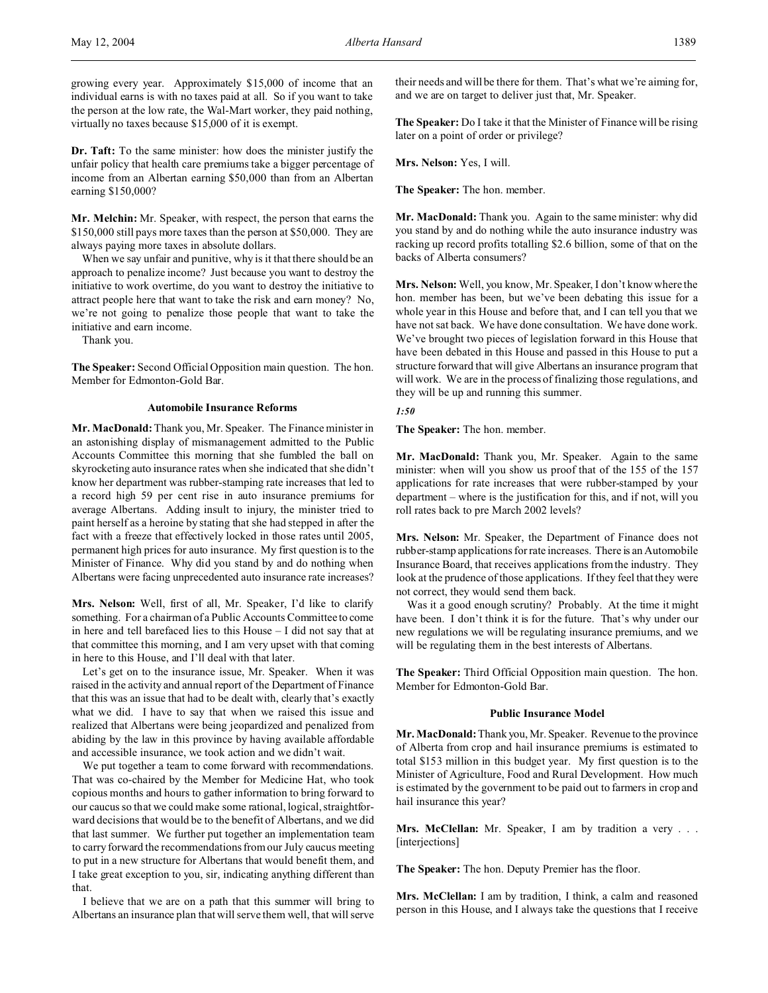growing every year. Approximately \$15,000 of income that an individual earns is with no taxes paid at all. So if you want to take the person at the low rate, the Wal-Mart worker, they paid nothing, virtually no taxes because \$15,000 of it is exempt.

**Dr. Taft:** To the same minister: how does the minister justify the unfair policy that health care premiums take a bigger percentage of income from an Albertan earning \$50,000 than from an Albertan earning \$150,000?

**Mr. Melchin:** Mr. Speaker, with respect, the person that earns the \$150,000 still pays more taxes than the person at \$50,000. They are always paying more taxes in absolute dollars.

When we say unfair and punitive, why is it that there should be an approach to penalize income? Just because you want to destroy the initiative to work overtime, do you want to destroy the initiative to attract people here that want to take the risk and earn money? No, we're not going to penalize those people that want to take the initiative and earn income.

Thank you.

**The Speaker:** Second Official Opposition main question. The hon. Member for Edmonton-Gold Bar.

# **Automobile Insurance Reforms**

**Mr. MacDonald:** Thank you, Mr. Speaker. The Finance minister in an astonishing display of mismanagement admitted to the Public Accounts Committee this morning that she fumbled the ball on skyrocketing auto insurance rates when she indicated that she didn't know her department was rubber-stamping rate increases that led to a record high 59 per cent rise in auto insurance premiums for average Albertans. Adding insult to injury, the minister tried to paint herself as a heroine by stating that she had stepped in after the fact with a freeze that effectively locked in those rates until 2005, permanent high prices for auto insurance. My first question is to the Minister of Finance. Why did you stand by and do nothing when Albertans were facing unprecedented auto insurance rate increases?

**Mrs. Nelson:** Well, first of all, Mr. Speaker, I'd like to clarify something. For a chairman of a Public Accounts Committee to come in here and tell barefaced lies to this House – I did not say that at that committee this morning, and I am very upset with that coming in here to this House, and I'll deal with that later.

Let's get on to the insurance issue, Mr. Speaker. When it was raised in the activity and annual report of the Department of Finance that this was an issue that had to be dealt with, clearly that's exactly what we did. I have to say that when we raised this issue and realized that Albertans were being jeopardized and penalized from abiding by the law in this province by having available affordable and accessible insurance, we took action and we didn't wait.

We put together a team to come forward with recommendations. That was co-chaired by the Member for Medicine Hat, who took copious months and hours to gather information to bring forward to our caucus so that we could make some rational, logical, straightforward decisions that would be to the benefit of Albertans, and we did that last summer. We further put together an implementation team to carry forward the recommendations from our July caucus meeting to put in a new structure for Albertans that would benefit them, and I take great exception to you, sir, indicating anything different than that.

I believe that we are on a path that this summer will bring to Albertans an insurance plan that will serve them well, that will serve their needs and will be there for them. That's what we're aiming for, and we are on target to deliver just that, Mr. Speaker.

**The Speaker:** Do I take it that the Minister of Finance will be rising later on a point of order or privilege?

**Mrs. Nelson:** Yes, I will.

**The Speaker:** The hon. member.

**Mr. MacDonald:** Thank you. Again to the same minister: why did you stand by and do nothing while the auto insurance industry was racking up record profits totalling \$2.6 billion, some of that on the backs of Alberta consumers?

**Mrs. Nelson:** Well, you know, Mr. Speaker, I don't know where the hon. member has been, but we've been debating this issue for a whole year in this House and before that, and I can tell you that we have not sat back. We have done consultation. We have done work. We've brought two pieces of legislation forward in this House that have been debated in this House and passed in this House to put a structure forward that will give Albertans an insurance program that will work. We are in the process of finalizing those regulations, and they will be up and running this summer.

#### *1:50*

**The Speaker:** The hon. member.

**Mr. MacDonald:** Thank you, Mr. Speaker. Again to the same minister: when will you show us proof that of the 155 of the 157 applications for rate increases that were rubber-stamped by your department – where is the justification for this, and if not, will you roll rates back to pre March 2002 levels?

**Mrs. Nelson:** Mr. Speaker, the Department of Finance does not rubber-stamp applications for rate increases. There is an Automobile Insurance Board, that receives applications from the industry. They look at the prudence of those applications. If they feel that they were not correct, they would send them back.

Was it a good enough scrutiny? Probably. At the time it might have been. I don't think it is for the future. That's why under our new regulations we will be regulating insurance premiums, and we will be regulating them in the best interests of Albertans.

**The Speaker:** Third Official Opposition main question. The hon. Member for Edmonton-Gold Bar.

#### **Public Insurance Model**

**Mr. MacDonald:** Thank you, Mr. Speaker. Revenue to the province of Alberta from crop and hail insurance premiums is estimated to total \$153 million in this budget year. My first question is to the Minister of Agriculture, Food and Rural Development. How much is estimated by the government to be paid out to farmers in crop and hail insurance this year?

**Mrs. McClellan:** Mr. Speaker, I am by tradition a very . . . [interjections]

**The Speaker:** The hon. Deputy Premier has the floor.

**Mrs. McClellan:** I am by tradition, I think, a calm and reasoned person in this House, and I always take the questions that I receive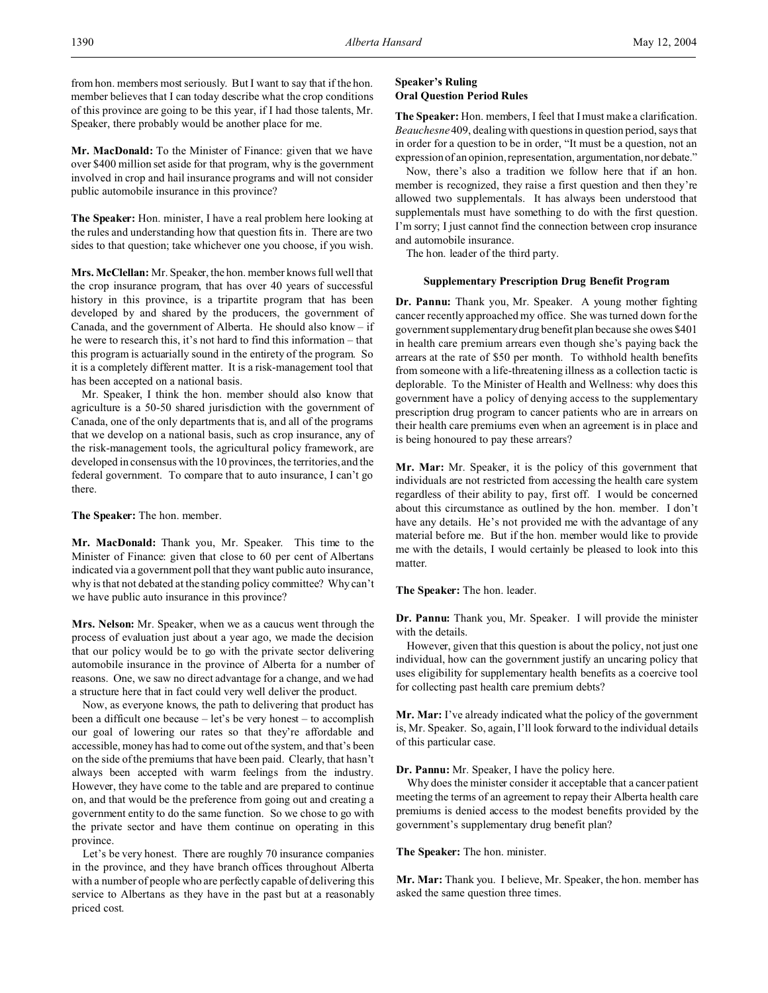from hon. members most seriously. But I want to say that if the hon. member believes that I can today describe what the crop conditions of this province are going to be this year, if I had those talents, Mr. Speaker, there probably would be another place for me.

**Mr. MacDonald:** To the Minister of Finance: given that we have over \$400 million set aside for that program, why is the government involved in crop and hail insurance programs and will not consider public automobile insurance in this province?

**The Speaker:** Hon. minister, I have a real problem here looking at the rules and understanding how that question fits in. There are two sides to that question; take whichever one you choose, if you wish.

**Mrs. McClellan:** Mr. Speaker, the hon. member knows full well that the crop insurance program, that has over 40 years of successful history in this province, is a tripartite program that has been developed by and shared by the producers, the government of Canada, and the government of Alberta. He should also know – if he were to research this, it's not hard to find this information – that this program is actuarially sound in the entirety of the program. So it is a completely different matter. It is a risk-management tool that has been accepted on a national basis.

Mr. Speaker, I think the hon. member should also know that agriculture is a 50-50 shared jurisdiction with the government of Canada, one of the only departments that is, and all of the programs that we develop on a national basis, such as crop insurance, any of the risk-management tools, the agricultural policy framework, are developed in consensus with the 10 provinces, the territories, and the federal government. To compare that to auto insurance, I can't go there.

**The Speaker:** The hon. member.

**Mr. MacDonald:** Thank you, Mr. Speaker. This time to the Minister of Finance: given that close to 60 per cent of Albertans indicated via a government poll that they want public auto insurance, why is that not debated at the standing policy committee? Why can't we have public auto insurance in this province?

**Mrs. Nelson:** Mr. Speaker, when we as a caucus went through the process of evaluation just about a year ago, we made the decision that our policy would be to go with the private sector delivering automobile insurance in the province of Alberta for a number of reasons. One, we saw no direct advantage for a change, and we had a structure here that in fact could very well deliver the product.

Now, as everyone knows, the path to delivering that product has been a difficult one because – let's be very honest – to accomplish our goal of lowering our rates so that they're affordable and accessible, money has had to come out of the system, and that's been on the side of the premiums that have been paid. Clearly, that hasn't always been accepted with warm feelings from the industry. However, they have come to the table and are prepared to continue on, and that would be the preference from going out and creating a government entity to do the same function. So we chose to go with the private sector and have them continue on operating in this province.

Let's be very honest. There are roughly 70 insurance companies in the province, and they have branch offices throughout Alberta with a number of people who are perfectly capable of delivering this service to Albertans as they have in the past but at a reasonably priced cost.

# **Speaker's Ruling Oral Question Period Rules**

**The Speaker:** Hon. members, I feel that I must make a clarification. *Beauchesne* 409, dealing with questions in question period, says that in order for a question to be in order, "It must be a question, not an expression of an opinion, representation, argumentation, nor debate."

Now, there's also a tradition we follow here that if an hon. member is recognized, they raise a first question and then they're allowed two supplementals. It has always been understood that supplementals must have something to do with the first question. I'm sorry; I just cannot find the connection between crop insurance and automobile insurance.

The hon. leader of the third party.

# **Supplementary Prescription Drug Benefit Program**

**Dr. Pannu:** Thank you, Mr. Speaker. A young mother fighting cancer recently approached my office. She was turned down for the government supplementary drug benefit plan because she owes \$401 in health care premium arrears even though she's paying back the arrears at the rate of \$50 per month. To withhold health benefits from someone with a life-threatening illness as a collection tactic is deplorable. To the Minister of Health and Wellness: why does this government have a policy of denying access to the supplementary prescription drug program to cancer patients who are in arrears on their health care premiums even when an agreement is in place and is being honoured to pay these arrears?

**Mr. Mar:** Mr. Speaker, it is the policy of this government that individuals are not restricted from accessing the health care system regardless of their ability to pay, first off. I would be concerned about this circumstance as outlined by the hon. member. I don't have any details. He's not provided me with the advantage of any material before me. But if the hon. member would like to provide me with the details, I would certainly be pleased to look into this matter.

# **The Speaker:** The hon. leader.

**Dr. Pannu:** Thank you, Mr. Speaker. I will provide the minister with the details.

However, given that this question is about the policy, not just one individual, how can the government justify an uncaring policy that uses eligibility for supplementary health benefits as a coercive tool for collecting past health care premium debts?

**Mr. Mar:** I've already indicated what the policy of the government is, Mr. Speaker. So, again, I'll look forward to the individual details of this particular case.

**Dr. Pannu:** Mr. Speaker, I have the policy here.

Why does the minister consider it acceptable that a cancer patient meeting the terms of an agreement to repay their Alberta health care premiums is denied access to the modest benefits provided by the government's supplementary drug benefit plan?

#### **The Speaker:** The hon. minister.

**Mr. Mar:** Thank you. I believe, Mr. Speaker, the hon. member has asked the same question three times.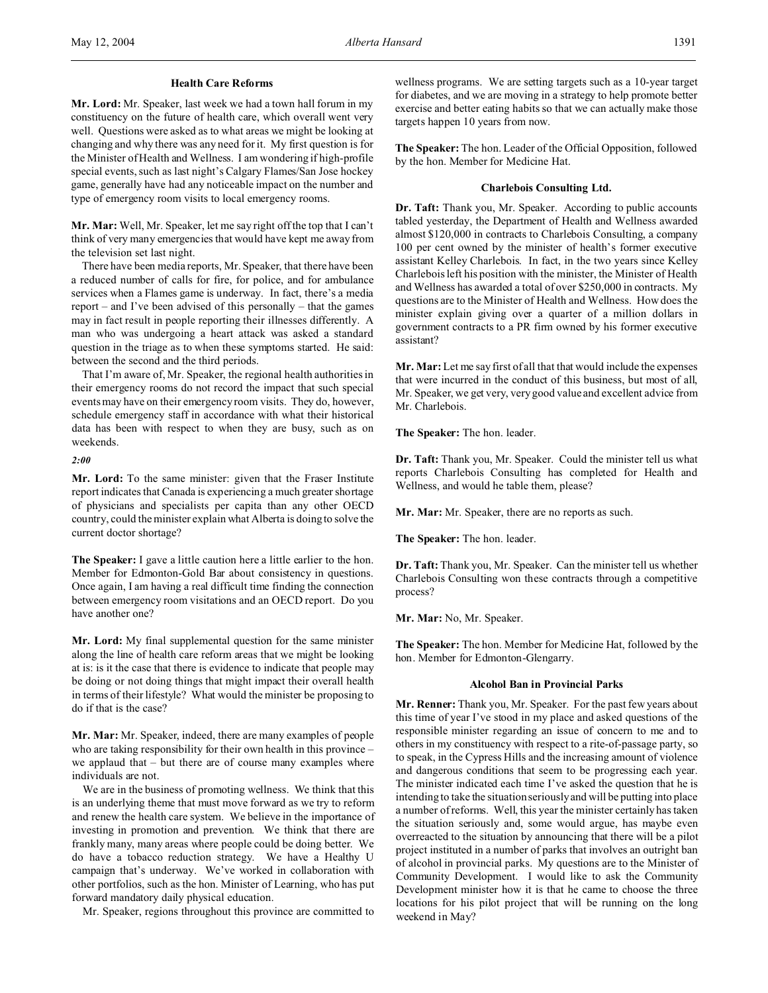#### **Health Care Reforms**

**Mr. Lord:** Mr. Speaker, last week we had a town hall forum in my constituency on the future of health care, which overall went very well. Questions were asked as to what areas we might be looking at changing and why there was any need for it. My first question is for the Minister of Health and Wellness. I am wondering if high-profile special events, such as last night's Calgary Flames/San Jose hockey game, generally have had any noticeable impact on the number and type of emergency room visits to local emergency rooms.

**Mr. Mar:** Well, Mr. Speaker, let me say right off the top that I can't think of very many emergencies that would have kept me away from the television set last night.

There have been media reports, Mr. Speaker, that there have been a reduced number of calls for fire, for police, and for ambulance services when a Flames game is underway. In fact, there's a media report – and I've been advised of this personally – that the games may in fact result in people reporting their illnesses differently. A man who was undergoing a heart attack was asked a standard question in the triage as to when these symptoms started. He said: between the second and the third periods.

That I'm aware of, Mr. Speaker, the regional health authorities in their emergency rooms do not record the impact that such special events may have on their emergency room visits. They do, however, schedule emergency staff in accordance with what their historical data has been with respect to when they are busy, such as on weekends.

*2:00*

**Mr. Lord:** To the same minister: given that the Fraser Institute report indicates that Canada is experiencing a much greater shortage of physicians and specialists per capita than any other OECD country, could the minister explain what Alberta is doing to solve the current doctor shortage?

**The Speaker:** I gave a little caution here a little earlier to the hon. Member for Edmonton-Gold Bar about consistency in questions. Once again, I am having a real difficult time finding the connection between emergency room visitations and an OECD report. Do you have another one?

**Mr. Lord:** My final supplemental question for the same minister along the line of health care reform areas that we might be looking at is: is it the case that there is evidence to indicate that people may be doing or not doing things that might impact their overall health in terms of their lifestyle? What would the minister be proposing to do if that is the case?

**Mr. Mar:** Mr. Speaker, indeed, there are many examples of people who are taking responsibility for their own health in this province – we applaud that – but there are of course many examples where individuals are not.

We are in the business of promoting wellness. We think that this is an underlying theme that must move forward as we try to reform and renew the health care system. We believe in the importance of investing in promotion and prevention. We think that there are frankly many, many areas where people could be doing better. We do have a tobacco reduction strategy. We have a Healthy U campaign that's underway. We've worked in collaboration with other portfolios, such as the hon. Minister of Learning, who has put forward mandatory daily physical education.

Mr. Speaker, regions throughout this province are committed to

wellness programs. We are setting targets such as a 10-year target for diabetes, and we are moving in a strategy to help promote better exercise and better eating habits so that we can actually make those targets happen 10 years from now.

**The Speaker:** The hon. Leader of the Official Opposition, followed by the hon. Member for Medicine Hat.

#### **Charlebois Consulting Ltd.**

**Dr. Taft:** Thank you, Mr. Speaker. According to public accounts tabled yesterday, the Department of Health and Wellness awarded almost \$120,000 in contracts to Charlebois Consulting, a company 100 per cent owned by the minister of health's former executive assistant Kelley Charlebois. In fact, in the two years since Kelley Charlebois left his position with the minister, the Minister of Health and Wellness has awarded a total of over \$250,000 in contracts. My questions are to the Minister of Health and Wellness. How does the minister explain giving over a quarter of a million dollars in government contracts to a PR firm owned by his former executive assistant?

**Mr. Mar:** Let me say first of all that that would include the expenses that were incurred in the conduct of this business, but most of all, Mr. Speaker, we get very, very good value and excellent advice from Mr. Charlebois.

**The Speaker:** The hon. leader.

**Dr. Taft:** Thank you, Mr. Speaker. Could the minister tell us what reports Charlebois Consulting has completed for Health and Wellness, and would he table them, please?

**Mr. Mar:** Mr. Speaker, there are no reports as such.

**The Speaker:** The hon. leader.

**Dr. Taft:** Thank you, Mr. Speaker. Can the minister tell us whether Charlebois Consulting won these contracts through a competitive process?

**Mr. Mar:** No, Mr. Speaker.

**The Speaker:** The hon. Member for Medicine Hat, followed by the hon. Member for Edmonton-Glengarry.

#### **Alcohol Ban in Provincial Parks**

**Mr. Renner:** Thank you, Mr. Speaker. For the past few years about this time of year I've stood in my place and asked questions of the responsible minister regarding an issue of concern to me and to others in my constituency with respect to a rite-of-passage party, so to speak, in the Cypress Hills and the increasing amount of violence and dangerous conditions that seem to be progressing each year. The minister indicated each time I've asked the question that he is intending to take the situation seriously and will be putting into place a number of reforms. Well, this year the minister certainly has taken the situation seriously and, some would argue, has maybe even overreacted to the situation by announcing that there will be a pilot project instituted in a number of parks that involves an outright ban of alcohol in provincial parks. My questions are to the Minister of Community Development. I would like to ask the Community Development minister how it is that he came to choose the three locations for his pilot project that will be running on the long weekend in May?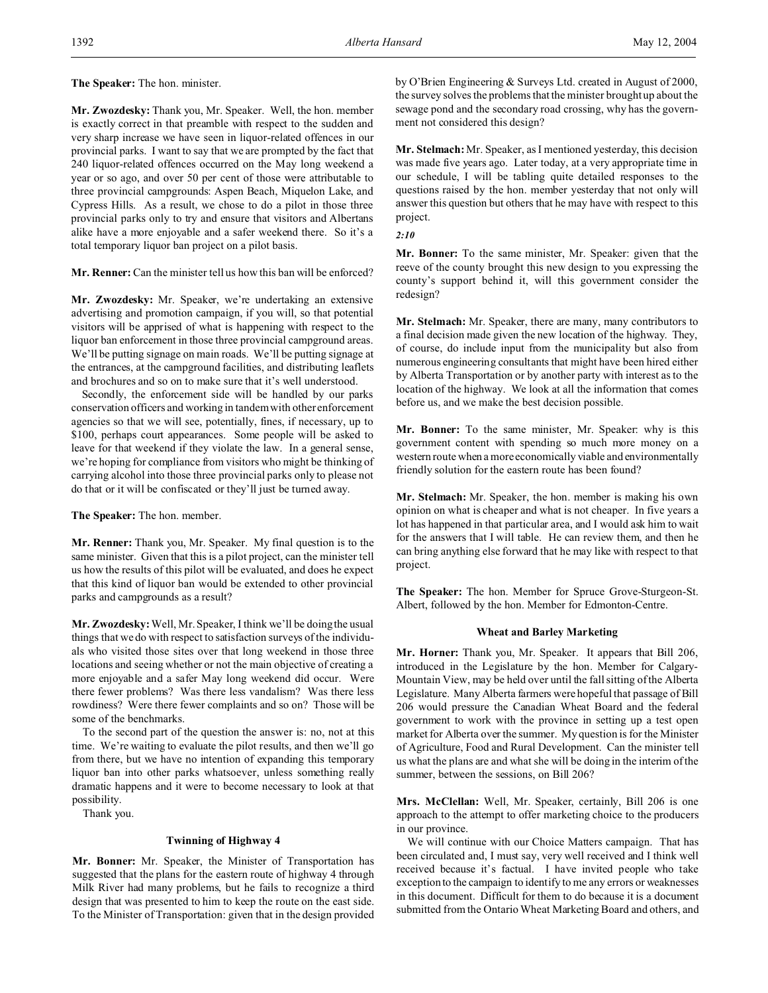**The Speaker:** The hon. minister.

**Mr. Zwozdesky:** Thank you, Mr. Speaker. Well, the hon. member is exactly correct in that preamble with respect to the sudden and very sharp increase we have seen in liquor-related offences in our provincial parks. I want to say that we are prompted by the fact that 240 liquor-related offences occurred on the May long weekend a year or so ago, and over 50 per cent of those were attributable to three provincial campgrounds: Aspen Beach, Miquelon Lake, and Cypress Hills. As a result, we chose to do a pilot in those three provincial parks only to try and ensure that visitors and Albertans alike have a more enjoyable and a safer weekend there. So it's a total temporary liquor ban project on a pilot basis.

**Mr. Renner:** Can the minister tell us how this ban will be enforced?

**Mr. Zwozdesky:** Mr. Speaker, we're undertaking an extensive advertising and promotion campaign, if you will, so that potential visitors will be apprised of what is happening with respect to the liquor ban enforcement in those three provincial campground areas. We'll be putting signage on main roads. We'll be putting signage at the entrances, at the campground facilities, and distributing leaflets and brochures and so on to make sure that it's well understood.

Secondly, the enforcement side will be handled by our parks conservation officers and working in tandem with other enforcement agencies so that we will see, potentially, fines, if necessary, up to \$100, perhaps court appearances. Some people will be asked to leave for that weekend if they violate the law. In a general sense, we're hoping for compliance from visitors who might be thinking of carrying alcohol into those three provincial parks only to please not do that or it will be confiscated or they'll just be turned away.

**The Speaker:** The hon. member.

**Mr. Renner:** Thank you, Mr. Speaker. My final question is to the same minister. Given that this is a pilot project, can the minister tell us how the results of this pilot will be evaluated, and does he expect that this kind of liquor ban would be extended to other provincial parks and campgrounds as a result?

**Mr. Zwozdesky:**Well, Mr. Speaker, I think we'll be doing the usual things that we do with respect to satisfaction surveys of the individuals who visited those sites over that long weekend in those three locations and seeing whether or not the main objective of creating a more enjoyable and a safer May long weekend did occur. Were there fewer problems? Was there less vandalism? Was there less rowdiness? Were there fewer complaints and so on? Those will be some of the benchmarks.

To the second part of the question the answer is: no, not at this time. We're waiting to evaluate the pilot results, and then we'll go from there, but we have no intention of expanding this temporary liquor ban into other parks whatsoever, unless something really dramatic happens and it were to become necessary to look at that possibility.

Thank you.

# **Twinning of Highway 4**

**Mr. Bonner:** Mr. Speaker, the Minister of Transportation has suggested that the plans for the eastern route of highway 4 through Milk River had many problems, but he fails to recognize a third design that was presented to him to keep the route on the east side. To the Minister of Transportation: given that in the design provided

by O'Brien Engineering & Surveys Ltd. created in August of 2000, the survey solves the problems that the minister brought up about the sewage pond and the secondary road crossing, why has the government not considered this design?

**Mr. Stelmach:** Mr. Speaker, as I mentioned yesterday, this decision was made five years ago. Later today, at a very appropriate time in our schedule, I will be tabling quite detailed responses to the questions raised by the hon. member yesterday that not only will answer this question but others that he may have with respect to this project.

*2:10*

**Mr. Bonner:** To the same minister, Mr. Speaker: given that the reeve of the county brought this new design to you expressing the county's support behind it, will this government consider the redesign?

**Mr. Stelmach:** Mr. Speaker, there are many, many contributors to a final decision made given the new location of the highway. They, of course, do include input from the municipality but also from numerous engineering consultants that might have been hired either by Alberta Transportation or by another party with interest as to the location of the highway. We look at all the information that comes before us, and we make the best decision possible.

**Mr. Bonner:** To the same minister, Mr. Speaker: why is this government content with spending so much more money on a western route when a more economically viable and environmentally friendly solution for the eastern route has been found?

**Mr. Stelmach:** Mr. Speaker, the hon. member is making his own opinion on what is cheaper and what is not cheaper. In five years a lot has happened in that particular area, and I would ask him to wait for the answers that I will table. He can review them, and then he can bring anything else forward that he may like with respect to that project.

**The Speaker:** The hon. Member for Spruce Grove-Sturgeon-St. Albert, followed by the hon. Member for Edmonton-Centre.

#### **Wheat and Barley Marketing**

**Mr. Horner:** Thank you, Mr. Speaker. It appears that Bill 206, introduced in the Legislature by the hon. Member for Calgary-Mountain View, may be held over until the fall sitting of the Alberta Legislature. Many Alberta farmers were hopeful that passage of Bill 206 would pressure the Canadian Wheat Board and the federal government to work with the province in setting up a test open market for Alberta over the summer. My question is for the Minister of Agriculture, Food and Rural Development. Can the minister tell us what the plans are and what she will be doing in the interim of the summer, between the sessions, on Bill 206?

**Mrs. McClellan:** Well, Mr. Speaker, certainly, Bill 206 is one approach to the attempt to offer marketing choice to the producers in our province.

We will continue with our Choice Matters campaign. That has been circulated and, I must say, very well received and I think well received because it's factual. I have invited people who take exception to the campaign to identify to me any errors or weaknesses in this document. Difficult for them to do because it is a document submitted from the Ontario Wheat Marketing Board and others, and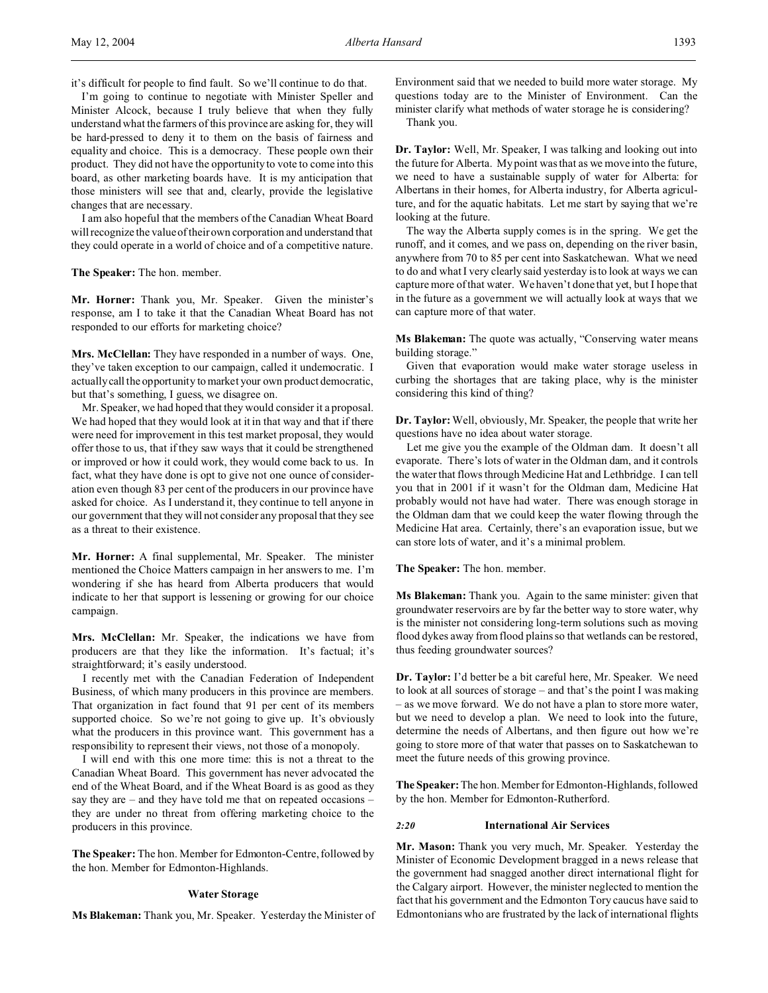I'm going to continue to negotiate with Minister Speller and Minister Alcock, because I truly believe that when they fully understand what the farmers of this province are asking for, they will be hard-pressed to deny it to them on the basis of fairness and equality and choice. This is a democracy. These people own their product. They did not have the opportunity to vote to come into this board, as other marketing boards have. It is my anticipation that those ministers will see that and, clearly, provide the legislative changes that are necessary.

I am also hopeful that the members of the Canadian Wheat Board will recognize the value of their own corporation and understand that they could operate in a world of choice and of a competitive nature.

**The Speaker:** The hon. member.

**Mr. Horner:** Thank you, Mr. Speaker. Given the minister's response, am I to take it that the Canadian Wheat Board has not responded to our efforts for marketing choice?

**Mrs. McClellan:** They have responded in a number of ways. One, they've taken exception to our campaign, called it undemocratic. I actually call the opportunity to market your own product democratic, but that's something, I guess, we disagree on.

Mr. Speaker, we had hoped that they would consider it a proposal. We had hoped that they would look at it in that way and that if there were need for improvement in this test market proposal, they would offer those to us, that if they saw ways that it could be strengthened or improved or how it could work, they would come back to us. In fact, what they have done is opt to give not one ounce of consideration even though 83 per cent of the producers in our province have asked for choice. As I understand it, they continue to tell anyone in our government that they will not consider any proposal that they see as a threat to their existence.

**Mr. Horner:** A final supplemental, Mr. Speaker. The minister mentioned the Choice Matters campaign in her answers to me. I'm wondering if she has heard from Alberta producers that would indicate to her that support is lessening or growing for our choice campaign.

**Mrs. McClellan:** Mr. Speaker, the indications we have from producers are that they like the information. It's factual; it's straightforward; it's easily understood.

I recently met with the Canadian Federation of Independent Business, of which many producers in this province are members. That organization in fact found that 91 per cent of its members supported choice. So we're not going to give up. It's obviously what the producers in this province want. This government has a responsibility to represent their views, not those of a monopoly.

I will end with this one more time: this is not a threat to the Canadian Wheat Board. This government has never advocated the end of the Wheat Board, and if the Wheat Board is as good as they say they are – and they have told me that on repeated occasions – they are under no threat from offering marketing choice to the producers in this province.

**The Speaker:** The hon. Member for Edmonton-Centre, followed by the hon. Member for Edmonton-Highlands.

#### **Water Storage**

**Ms Blakeman:** Thank you, Mr. Speaker. Yesterday the Minister of

Environment said that we needed to build more water storage. My questions today are to the Minister of Environment. Can the minister clarify what methods of water storage he is considering?

Thank you.

**Dr. Taylor:** Well, Mr. Speaker, I was talking and looking out into the future for Alberta. My point was that as we move into the future, we need to have a sustainable supply of water for Alberta: for Albertans in their homes, for Alberta industry, for Alberta agriculture, and for the aquatic habitats. Let me start by saying that we're looking at the future.

The way the Alberta supply comes is in the spring. We get the runoff, and it comes, and we pass on, depending on the river basin, anywhere from 70 to 85 per cent into Saskatchewan. What we need to do and what I very clearly said yesterday is to look at ways we can capture more of that water. We haven't done that yet, but I hope that in the future as a government we will actually look at ways that we can capture more of that water.

**Ms Blakeman:** The quote was actually, "Conserving water means building storage."

Given that evaporation would make water storage useless in curbing the shortages that are taking place, why is the minister considering this kind of thing?

**Dr. Taylor:**Well, obviously, Mr. Speaker, the people that write her questions have no idea about water storage.

Let me give you the example of the Oldman dam. It doesn't all evaporate. There's lots of water in the Oldman dam, and it controls the water that flows through Medicine Hat and Lethbridge. I can tell you that in 2001 if it wasn't for the Oldman dam, Medicine Hat probably would not have had water. There was enough storage in the Oldman dam that we could keep the water flowing through the Medicine Hat area. Certainly, there's an evaporation issue, but we can store lots of water, and it's a minimal problem.

**The Speaker:** The hon. member.

**Ms Blakeman:** Thank you. Again to the same minister: given that groundwater reservoirs are by far the better way to store water, why is the minister not considering long-term solutions such as moving flood dykes away from flood plains so that wetlands can be restored, thus feeding groundwater sources?

**Dr. Taylor:** I'd better be a bit careful here, Mr. Speaker. We need to look at all sources of storage – and that's the point I was making – as we move forward. We do not have a plan to store more water, but we need to develop a plan. We need to look into the future, determine the needs of Albertans, and then figure out how we're going to store more of that water that passes on to Saskatchewan to meet the future needs of this growing province.

**The Speaker:** The hon. Member for Edmonton-Highlands, followed by the hon. Member for Edmonton-Rutherford.

# *2:20* **International Air Services**

**Mr. Mason:** Thank you very much, Mr. Speaker. Yesterday the Minister of Economic Development bragged in a news release that the government had snagged another direct international flight for the Calgary airport. However, the minister neglected to mention the fact that his government and the Edmonton Tory caucus have said to Edmontonians who are frustrated by the lack of international flights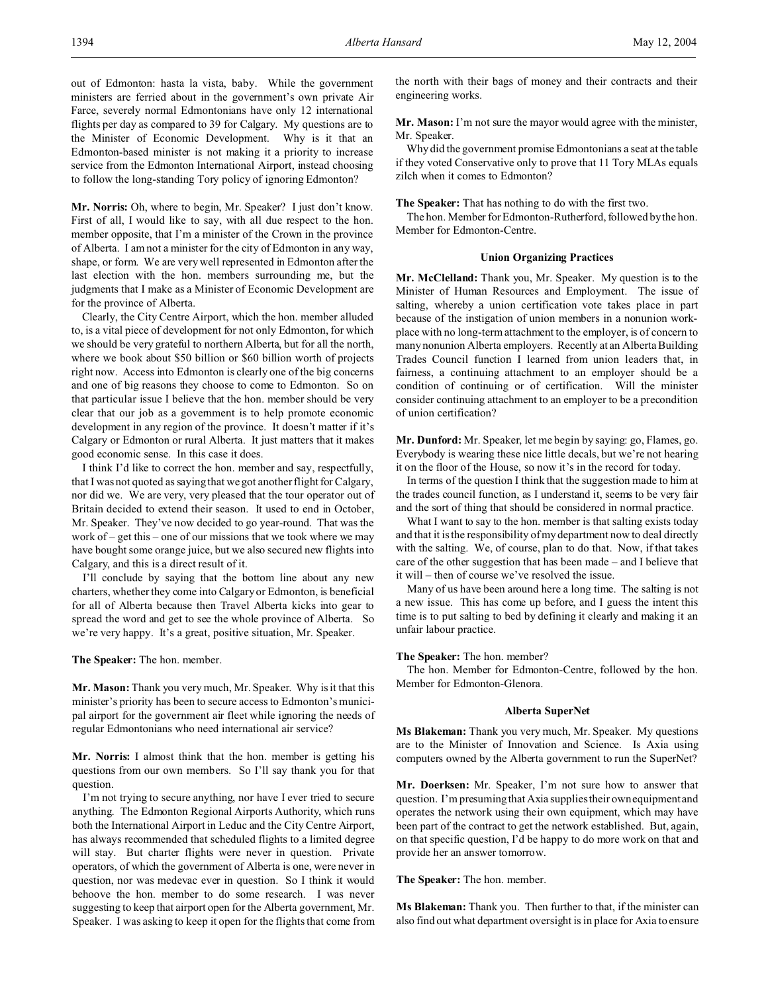out of Edmonton: hasta la vista, baby. While the government ministers are ferried about in the government's own private Air Farce, severely normal Edmontonians have only 12 international flights per day as compared to 39 for Calgary. My questions are to the Minister of Economic Development. Why is it that an Edmonton-based minister is not making it a priority to increase service from the Edmonton International Airport, instead choosing to follow the long-standing Tory policy of ignoring Edmonton?

**Mr. Norris:** Oh, where to begin, Mr. Speaker? I just don't know. First of all, I would like to say, with all due respect to the hon. member opposite, that I'm a minister of the Crown in the province of Alberta. I am not a minister for the city of Edmonton in any way, shape, or form. We are very well represented in Edmonton after the last election with the hon. members surrounding me, but the judgments that I make as a Minister of Economic Development are for the province of Alberta.

Clearly, the City Centre Airport, which the hon. member alluded to, is a vital piece of development for not only Edmonton, for which we should be very grateful to northern Alberta, but for all the north, where we book about \$50 billion or \$60 billion worth of projects right now. Access into Edmonton is clearly one of the big concerns and one of big reasons they choose to come to Edmonton. So on that particular issue I believe that the hon. member should be very clear that our job as a government is to help promote economic development in any region of the province. It doesn't matter if it's Calgary or Edmonton or rural Alberta. It just matters that it makes good economic sense. In this case it does.

I think I'd like to correct the hon. member and say, respectfully, that I was not quoted as saying that we got another flight for Calgary, nor did we. We are very, very pleased that the tour operator out of Britain decided to extend their season. It used to end in October, Mr. Speaker. They've now decided to go year-round. That was the work of – get this – one of our missions that we took where we may have bought some orange juice, but we also secured new flights into Calgary, and this is a direct result of it.

I'll conclude by saying that the bottom line about any new charters, whether they come into Calgary or Edmonton, is beneficial for all of Alberta because then Travel Alberta kicks into gear to spread the word and get to see the whole province of Alberta. So we're very happy. It's a great, positive situation, Mr. Speaker.

**The Speaker:** The hon. member.

**Mr. Mason:** Thank you very much, Mr. Speaker. Why is it that this minister's priority has been to secure access to Edmonton's municipal airport for the government air fleet while ignoring the needs of regular Edmontonians who need international air service?

**Mr. Norris:** I almost think that the hon. member is getting his questions from our own members. So I'll say thank you for that question.

I'm not trying to secure anything, nor have I ever tried to secure anything. The Edmonton Regional Airports Authority, which runs both the International Airport in Leduc and the City Centre Airport, has always recommended that scheduled flights to a limited degree will stay. But charter flights were never in question. Private operators, of which the government of Alberta is one, were never in question, nor was medevac ever in question. So I think it would behoove the hon. member to do some research. I was never suggesting to keep that airport open for the Alberta government, Mr. Speaker. I was asking to keep it open for the flights that come from the north with their bags of money and their contracts and their engineering works.

**Mr. Mason:** I'm not sure the mayor would agree with the minister, Mr. Speaker.

Why did the government promise Edmontonians a seat at the table if they voted Conservative only to prove that 11 Tory MLAs equals zilch when it comes to Edmonton?

**The Speaker:** That has nothing to do with the first two.

The hon. Member for Edmonton-Rutherford, followed by the hon. Member for Edmonton-Centre.

#### **Union Organizing Practices**

**Mr. McClelland:** Thank you, Mr. Speaker. My question is to the Minister of Human Resources and Employment. The issue of salting, whereby a union certification vote takes place in part because of the instigation of union members in a nonunion workplace with no long-term attachment to the employer, is of concern to many nonunion Alberta employers. Recently at an Alberta Building Trades Council function I learned from union leaders that, in fairness, a continuing attachment to an employer should be a condition of continuing or of certification. Will the minister consider continuing attachment to an employer to be a precondition of union certification?

**Mr. Dunford:** Mr. Speaker, let me begin by saying: go, Flames, go. Everybody is wearing these nice little decals, but we're not hearing it on the floor of the House, so now it's in the record for today.

In terms of the question I think that the suggestion made to him at the trades council function, as I understand it, seems to be very fair and the sort of thing that should be considered in normal practice.

What I want to say to the hon. member is that salting exists today and that it is the responsibility of my department now to deal directly with the salting. We, of course, plan to do that. Now, if that takes care of the other suggestion that has been made – and I believe that it will – then of course we've resolved the issue.

Many of us have been around here a long time. The salting is not a new issue. This has come up before, and I guess the intent this time is to put salting to bed by defining it clearly and making it an unfair labour practice.

#### **The Speaker:** The hon. member?

The hon. Member for Edmonton-Centre, followed by the hon. Member for Edmonton-Glenora.

#### **Alberta SuperNet**

**Ms Blakeman:** Thank you very much, Mr. Speaker. My questions are to the Minister of Innovation and Science. Is Axia using computers owned by the Alberta government to run the SuperNet?

**Mr. Doerksen:** Mr. Speaker, I'm not sure how to answer that question. I'm presuming that Axia supplies their own equipment and operates the network using their own equipment, which may have been part of the contract to get the network established. But, again, on that specific question, I'd be happy to do more work on that and provide her an answer tomorrow.

#### **The Speaker:** The hon. member.

**Ms Blakeman:** Thank you. Then further to that, if the minister can also find out what department oversight is in place for Axia to ensure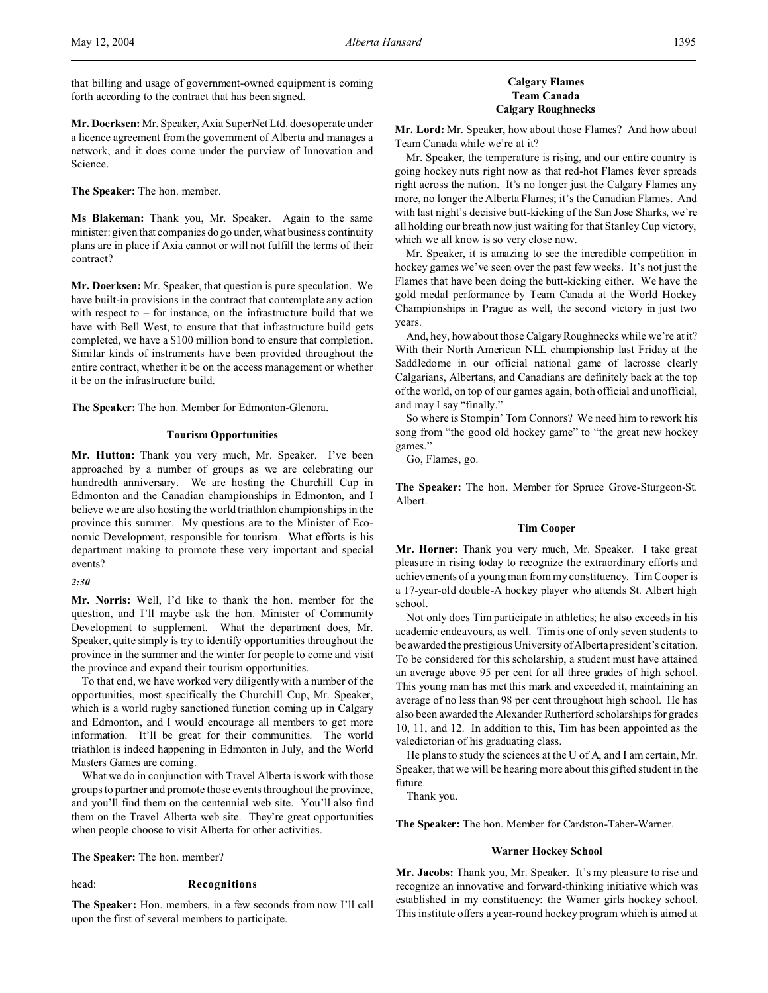**Mr. Doerksen:** Mr. Speaker, Axia SuperNet Ltd. does operate under a licence agreement from the government of Alberta and manages a network, and it does come under the purview of Innovation and Science.

**The Speaker:** The hon. member.

**Ms Blakeman:** Thank you, Mr. Speaker. Again to the same minister: given that companies do go under, what business continuity plans are in place if Axia cannot or will not fulfill the terms of their contract?

**Mr. Doerksen:** Mr. Speaker, that question is pure speculation. We have built-in provisions in the contract that contemplate any action with respect to  $-$  for instance, on the infrastructure build that we have with Bell West, to ensure that that infrastructure build gets completed, we have a \$100 million bond to ensure that completion. Similar kinds of instruments have been provided throughout the entire contract, whether it be on the access management or whether it be on the infrastructure build.

**The Speaker:** The hon. Member for Edmonton-Glenora.

# **Tourism Opportunities**

**Mr. Hutton:** Thank you very much, Mr. Speaker. I've been approached by a number of groups as we are celebrating our hundredth anniversary. We are hosting the Churchill Cup in Edmonton and the Canadian championships in Edmonton, and I believe we are also hosting the world triathlon championships in the province this summer. My questions are to the Minister of Economic Development, responsible for tourism. What efforts is his department making to promote these very important and special events?

#### *2:30*

**Mr. Norris:** Well, I'd like to thank the hon. member for the question, and I'll maybe ask the hon. Minister of Community Development to supplement. What the department does, Mr. Speaker, quite simply is try to identify opportunities throughout the province in the summer and the winter for people to come and visit the province and expand their tourism opportunities.

To that end, we have worked very diligently with a number of the opportunities, most specifically the Churchill Cup, Mr. Speaker, which is a world rugby sanctioned function coming up in Calgary and Edmonton, and I would encourage all members to get more information. It'll be great for their communities. The world triathlon is indeed happening in Edmonton in July, and the World Masters Games are coming.

What we do in conjunction with Travel Alberta is work with those groups to partner and promote those events throughout the province, and you'll find them on the centennial web site. You'll also find them on the Travel Alberta web site. They're great opportunities when people choose to visit Alberta for other activities.

**The Speaker:** The hon. member?

#### head: **Recognitions**

**The Speaker:** Hon. members, in a few seconds from now I'll call upon the first of several members to participate.

# **Calgary Flames Team Canada Calgary Roughnecks**

**Mr. Lord:** Mr. Speaker, how about those Flames? And how about Team Canada while we're at it?

Mr. Speaker, the temperature is rising, and our entire country is going hockey nuts right now as that red-hot Flames fever spreads right across the nation. It's no longer just the Calgary Flames any more, no longer the Alberta Flames; it's the Canadian Flames. And with last night's decisive butt-kicking of the San Jose Sharks, we're all holding our breath now just waiting for that Stanley Cup victory, which we all know is so very close now.

Mr. Speaker, it is amazing to see the incredible competition in hockey games we've seen over the past few weeks. It's not just the Flames that have been doing the butt-kicking either. We have the gold medal performance by Team Canada at the World Hockey Championships in Prague as well, the second victory in just two years.

And, hey, how about those Calgary Roughnecks while we're at it? With their North American NLL championship last Friday at the Saddledome in our official national game of lacrosse clearly Calgarians, Albertans, and Canadians are definitely back at the top of the world, on top of our games again, both official and unofficial, and may I say "finally."

So where is Stompin' Tom Connors? We need him to rework his song from "the good old hockey game" to "the great new hockey games."

Go, Flames, go.

**The Speaker:** The hon. Member for Spruce Grove-Sturgeon-St. Albert.

#### **Tim Cooper**

**Mr. Horner:** Thank you very much, Mr. Speaker. I take great pleasure in rising today to recognize the extraordinary efforts and achievements of a young man from my constituency. Tim Cooper is a 17-year-old double-A hockey player who attends St. Albert high school.

Not only does Tim participate in athletics; he also exceeds in his academic endeavours, as well. Tim is one of only seven students to be awarded the prestigious University of Alberta president's citation. To be considered for this scholarship, a student must have attained an average above 95 per cent for all three grades of high school. This young man has met this mark and exceeded it, maintaining an average of no less than 98 per cent throughout high school. He has also been awarded the Alexander Rutherford scholarships for grades 10, 11, and 12. In addition to this, Tim has been appointed as the valedictorian of his graduating class.

He plans to study the sciences at the U of A, and I am certain, Mr. Speaker, that we will be hearing more about this gifted student in the future.

Thank you.

**The Speaker:** The hon. Member for Cardston-Taber-Warner.

#### **Warner Hockey School**

**Mr. Jacobs:** Thank you, Mr. Speaker. It's my pleasure to rise and recognize an innovative and forward-thinking initiative which was established in my constituency: the Warner girls hockey school. This institute offers a year-round hockey program which is aimed at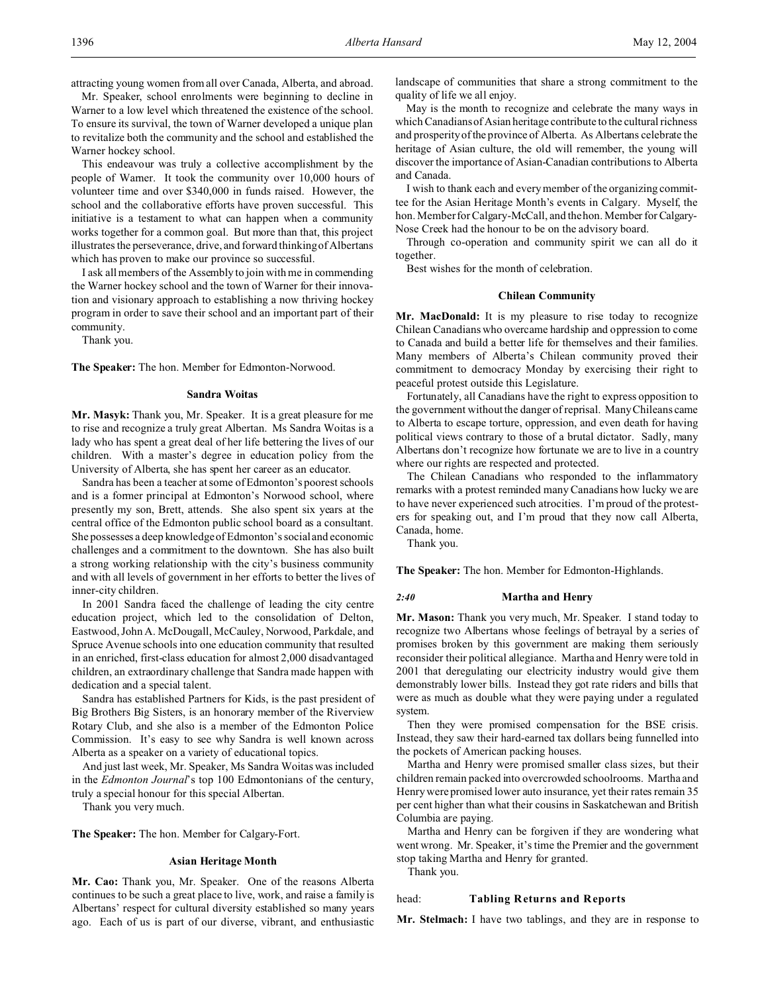attracting young women from all over Canada, Alberta, and abroad. Mr. Speaker, school enrolments were beginning to decline in

Warner to a low level which threatened the existence of the school. To ensure its survival, the town of Warner developed a unique plan to revitalize both the community and the school and established the Warner hockey school.

This endeavour was truly a collective accomplishment by the people of Warner. It took the community over 10,000 hours of volunteer time and over \$340,000 in funds raised. However, the school and the collaborative efforts have proven successful. This initiative is a testament to what can happen when a community works together for a common goal. But more than that, this project illustrates the perseverance, drive, and forward thinking of Albertans which has proven to make our province so successful.

I ask all members of the Assembly to join with me in commending the Warner hockey school and the town of Warner for their innovation and visionary approach to establishing a now thriving hockey program in order to save their school and an important part of their community.

Thank you.

**The Speaker:** The hon. Member for Edmonton-Norwood.

#### **Sandra Woitas**

**Mr. Masyk:** Thank you, Mr. Speaker. It is a great pleasure for me to rise and recognize a truly great Albertan. Ms Sandra Woitas is a lady who has spent a great deal of her life bettering the lives of our children. With a master's degree in education policy from the University of Alberta, she has spent her career as an educator.

Sandra has been a teacher at some of Edmonton's poorest schools and is a former principal at Edmonton's Norwood school, where presently my son, Brett, attends. She also spent six years at the central office of the Edmonton public school board as a consultant. She possesses a deep knowledge of Edmonton's social and economic challenges and a commitment to the downtown. She has also built a strong working relationship with the city's business community and with all levels of government in her efforts to better the lives of inner-city children.

In 2001 Sandra faced the challenge of leading the city centre education project, which led to the consolidation of Delton, Eastwood, John A. McDougall, McCauley, Norwood, Parkdale, and Spruce Avenue schools into one education community that resulted in an enriched, first-class education for almost 2,000 disadvantaged children, an extraordinary challenge that Sandra made happen with dedication and a special talent.

Sandra has established Partners for Kids, is the past president of Big Brothers Big Sisters, is an honorary member of the Riverview Rotary Club, and she also is a member of the Edmonton Police Commission. It's easy to see why Sandra is well known across Alberta as a speaker on a variety of educational topics.

And just last week, Mr. Speaker, Ms Sandra Woitas was included in the *Edmonton Journal*'s top 100 Edmontonians of the century, truly a special honour for this special Albertan.

Thank you very much.

**The Speaker:** The hon. Member for Calgary-Fort.

#### **Asian Heritage Month**

**Mr. Cao:** Thank you, Mr. Speaker. One of the reasons Alberta continues to be such a great place to live, work, and raise a family is Albertans' respect for cultural diversity established so many years ago. Each of us is part of our diverse, vibrant, and enthusiastic landscape of communities that share a strong commitment to the quality of life we all enjoy.

May is the month to recognize and celebrate the many ways in which Canadians of Asian heritage contribute to the cultural richness and prosperity of the province of Alberta. As Albertans celebrate the heritage of Asian culture, the old will remember, the young will discover the importance of Asian-Canadian contributions to Alberta and Canada.

I wish to thank each and every member of the organizing committee for the Asian Heritage Month's events in Calgary. Myself, the hon. Member for Calgary-McCall, and the hon. Member for Calgary-Nose Creek had the honour to be on the advisory board.

Through co-operation and community spirit we can all do it together.

Best wishes for the month of celebration.

# **Chilean Community**

**Mr. MacDonald:** It is my pleasure to rise today to recognize Chilean Canadians who overcame hardship and oppression to come to Canada and build a better life for themselves and their families. Many members of Alberta's Chilean community proved their commitment to democracy Monday by exercising their right to peaceful protest outside this Legislature.

Fortunately, all Canadians have the right to express opposition to the government without the danger of reprisal. Many Chileans came to Alberta to escape torture, oppression, and even death for having political views contrary to those of a brutal dictator. Sadly, many Albertans don't recognize how fortunate we are to live in a country where our rights are respected and protected.

The Chilean Canadians who responded to the inflammatory remarks with a protest reminded many Canadians how lucky we are to have never experienced such atrocities. I'm proud of the protesters for speaking out, and I'm proud that they now call Alberta, Canada, home.

Thank you.

**The Speaker:** The hon. Member for Edmonton-Highlands.

#### *2:40* **Martha and Henry**

**Mr. Mason:** Thank you very much, Mr. Speaker. I stand today to recognize two Albertans whose feelings of betrayal by a series of promises broken by this government are making them seriously reconsider their political allegiance. Martha and Henry were told in 2001 that deregulating our electricity industry would give them demonstrably lower bills. Instead they got rate riders and bills that were as much as double what they were paying under a regulated system.

Then they were promised compensation for the BSE crisis. Instead, they saw their hard-earned tax dollars being funnelled into the pockets of American packing houses.

Martha and Henry were promised smaller class sizes, but their children remain packed into overcrowded schoolrooms. Martha and Henry were promised lower auto insurance, yet their rates remain 35 per cent higher than what their cousins in Saskatchewan and British Columbia are paying.

Martha and Henry can be forgiven if they are wondering what went wrong. Mr. Speaker, it's time the Premier and the government stop taking Martha and Henry for granted.

Thank you.

#### head: **Tabling Returns and Reports**

**Mr. Stelmach:** I have two tablings, and they are in response to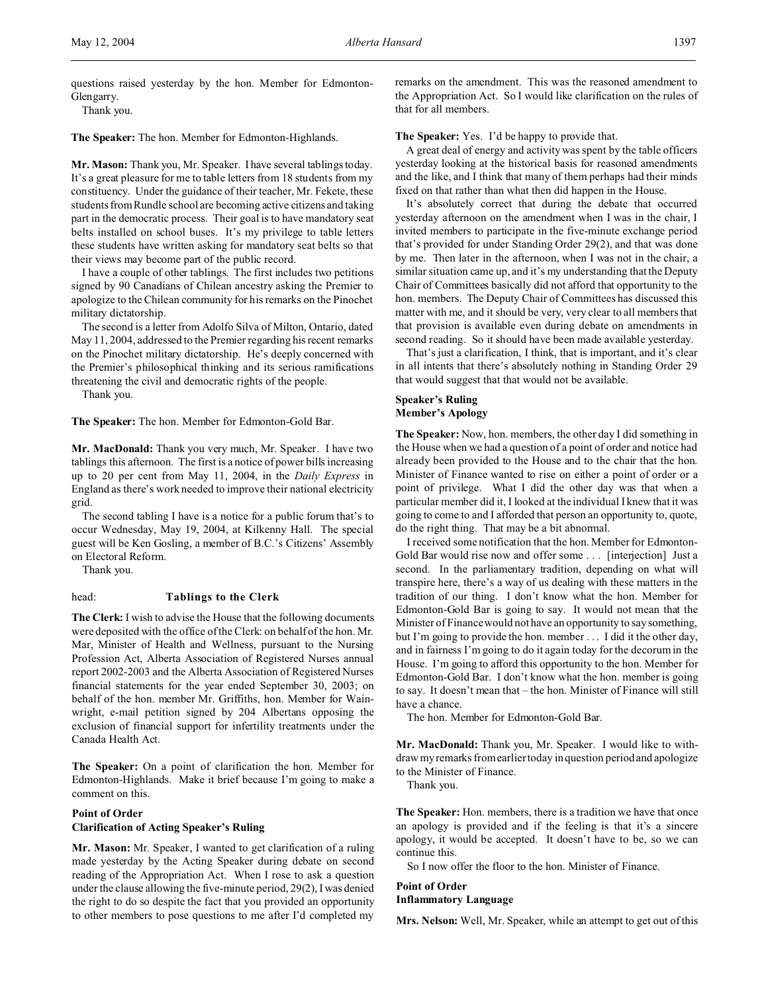questions raised yesterday by the hon. Member for Edmonton-Glengarry.

Thank you.

**The Speaker:** The hon. Member for Edmonton-Highlands.

**Mr. Mason:** Thank you, Mr. Speaker. I have several tablings today. It's a great pleasure for me to table letters from 18 students from my constituency. Under the guidance of their teacher, Mr. Fekete, these students from Rundle school are becoming active citizens and taking part in the democratic process. Their goal is to have mandatory seat belts installed on school buses. It's my privilege to table letters these students have written asking for mandatory seat belts so that their views may become part of the public record.

I have a couple of other tablings. The first includes two petitions signed by 90 Canadians of Chilean ancestry asking the Premier to apologize to the Chilean community for his remarks on the Pinochet military dictatorship.

The second is a letter from Adolfo Silva of Milton, Ontario, dated May 11, 2004, addressed to the Premier regarding his recent remarks on the Pinochet military dictatorship. He's deeply concerned with the Premier's philosophical thinking and its serious ramifications threatening the civil and democratic rights of the people.

Thank you.

**The Speaker:** The hon. Member for Edmonton-Gold Bar.

**Mr. MacDonald:** Thank you very much, Mr. Speaker. I have two tablings this afternoon. The first is a notice of power bills increasing up to 20 per cent from May 11, 2004, in the *Daily Express* in England as there's work needed to improve their national electricity grid.

The second tabling I have is a notice for a public forum that's to occur Wednesday, May 19, 2004, at Kilkenny Hall. The special guest will be Ken Gosling, a member of B.C.'s Citizens' Assembly on Electoral Reform.

Thank you.

# head: **Tablings to the Clerk**

**The Clerk:** I wish to advise the House that the following documents were deposited with the office of the Clerk: on behalf of the hon. Mr. Mar, Minister of Health and Wellness, pursuant to the Nursing Profession Act, Alberta Association of Registered Nurses annual report 2002-2003 and the Alberta Association of Registered Nurses financial statements for the year ended September 30, 2003; on behalf of the hon. member Mr. Griffiths, hon. Member for Wainwright, e-mail petition signed by 204 Albertans opposing the exclusion of financial support for infertility treatments under the Canada Health Act.

**The Speaker:** On a point of clarification the hon. Member for Edmonton-Highlands. Make it brief because I'm going to make a comment on this.

# **Point of Order**

**Clarification of Acting Speaker's Ruling**

**Mr. Mason:** Mr. Speaker, I wanted to get clarification of a ruling made yesterday by the Acting Speaker during debate on second reading of the Appropriation Act. When I rose to ask a question under the clause allowing the five-minute period, 29(2), I was denied the right to do so despite the fact that you provided an opportunity to other members to pose questions to me after I'd completed my

remarks on the amendment. This was the reasoned amendment to the Appropriation Act. So I would like clarification on the rules of that for all members.

# **The Speaker:** Yes. I'd be happy to provide that.

A great deal of energy and activity was spent by the table officers yesterday looking at the historical basis for reasoned amendments and the like, and I think that many of them perhaps had their minds fixed on that rather than what then did happen in the House.

It's absolutely correct that during the debate that occurred yesterday afternoon on the amendment when I was in the chair, I invited members to participate in the five-minute exchange period that's provided for under Standing Order 29(2), and that was done by me. Then later in the afternoon, when I was not in the chair, a similar situation came up, and it's my understanding that the Deputy Chair of Committees basically did not afford that opportunity to the hon. members. The Deputy Chair of Committees has discussed this matter with me, and it should be very, very clear to all members that that provision is available even during debate on amendments in second reading. So it should have been made available yesterday.

That's just a clarification, I think, that is important, and it's clear in all intents that there's absolutely nothing in Standing Order 29 that would suggest that that would not be available.

# **Speaker's Ruling Member's Apology**

**The Speaker:** Now, hon. members, the other day I did something in the House when we had a question of a point of order and notice had already been provided to the House and to the chair that the hon. Minister of Finance wanted to rise on either a point of order or a point of privilege. What I did the other day was that when a particular member did it, I looked at the individual I knew that it was going to come to and I afforded that person an opportunity to, quote, do the right thing. That may be a bit abnormal.

I received some notification that the hon. Member for Edmonton-Gold Bar would rise now and offer some . . . [interjection] Just a second. In the parliamentary tradition, depending on what will transpire here, there's a way of us dealing with these matters in the tradition of our thing. I don't know what the hon. Member for Edmonton-Gold Bar is going to say. It would not mean that the Minister of Finance would not have an opportunity to say something, but I'm going to provide the hon. member . . . I did it the other day, and in fairness I'm going to do it again today for the decorum in the House. I'm going to afford this opportunity to the hon. Member for Edmonton-Gold Bar. I don't know what the hon. member is going to say. It doesn't mean that – the hon. Minister of Finance will still have a chance.

The hon. Member for Edmonton-Gold Bar.

**Mr. MacDonald:** Thank you, Mr. Speaker. I would like to withdraw my remarks from earlier today in question period and apologize to the Minister of Finance.

Thank you.

**The Speaker:** Hon. members, there is a tradition we have that once an apology is provided and if the feeling is that it's a sincere apology, it would be accepted. It doesn't have to be, so we can continue this.

So I now offer the floor to the hon. Minister of Finance.

# **Point of Order Inflammatory Language**

**Mrs. Nelson:** Well, Mr. Speaker, while an attempt to get out of this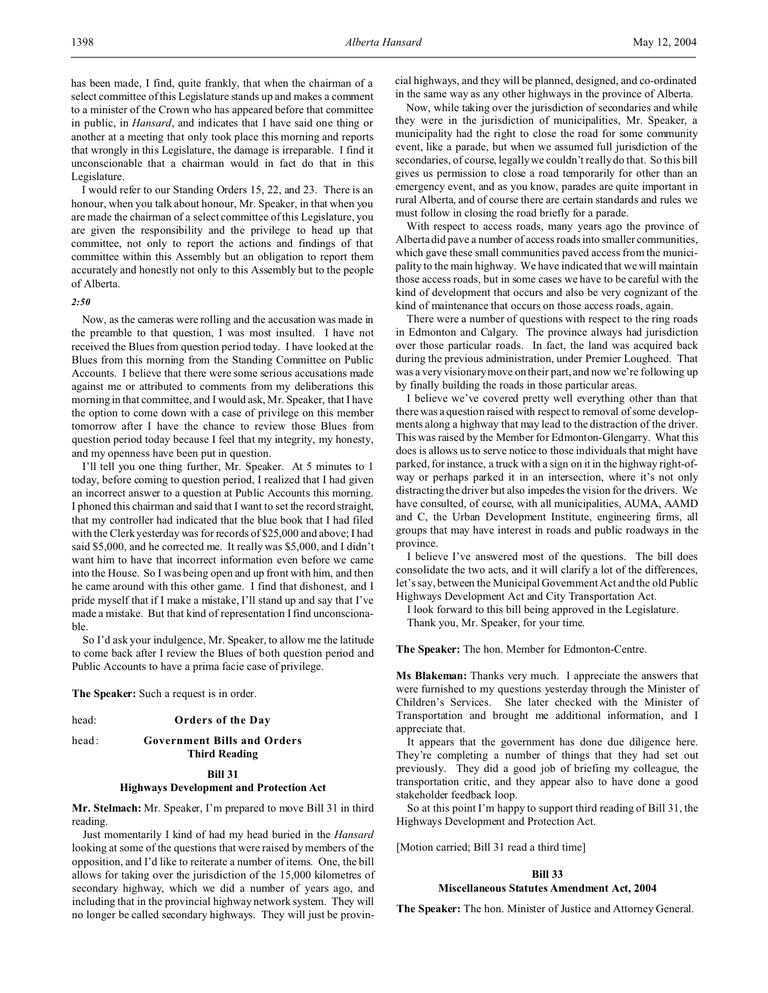I would refer to our Standing Orders 15, 22, and 23. There is an honour, when you talk about honour, Mr. Speaker, in that when you are made the chairman of a select committee of this Legislature, you are given the responsibility and the privilege to head up that committee, not only to report the actions and findings of that committee within this Assembly but an obligation to report them accurately and honestly not only to this Assembly but to the people of Alberta.

# *2:50*

Now, as the cameras were rolling and the accusation was made in the preamble to that question, I was most insulted. I have not received the Blues from question period today. I have looked at the Blues from this morning from the Standing Committee on Public Accounts. I believe that there were some serious accusations made against me or attributed to comments from my deliberations this morning in that committee, and I would ask, Mr. Speaker, that I have the option to come down with a case of privilege on this member tomorrow after I have the chance to review those Blues from question period today because I feel that my integrity, my honesty, and my openness have been put in question.

I'll tell you one thing further, Mr. Speaker. At 5 minutes to 1 today, before coming to question period, I realized that I had given an incorrect answer to a question at Public Accounts this morning. I phoned this chairman and said that I want to set the record straight, that my controller had indicated that the blue book that I had filed with the Clerk yesterday was for records of \$25,000 and above; I had said \$5,000, and he corrected me. It really was \$5,000, and I didn't want him to have that incorrect information even before we came into the House. So I was being open and up front with him, and then he came around with this other game. I find that dishonest, and I pride myself that if I make a mistake, I'll stand up and say that I've made a mistake. But that kind of representation I find unconscionable.

So I'd ask your indulgence, Mr. Speaker, to allow me the latitude to come back after I review the Blues of both question period and Public Accounts to have a prima facie case of privilege.

**The Speaker:** Such a request is in order.

head: **Orders of the Day**

#### head: **Government Bills and Orders Third Reading**

# **Bill 31**

# **Highways Development and Protection Act**

**Mr. Stelmach:** Mr. Speaker, I'm prepared to move Bill 31 in third reading.

Just momentarily I kind of had my head buried in the *Hansard* looking at some of the questions that were raised by members of the opposition, and I'd like to reiterate a number of items. One, the bill allows for taking over the jurisdiction of the 15,000 kilometres of secondary highway, which we did a number of years ago, and including that in the provincial highway network system. They will no longer be called secondary highways. They will just be provincial highways, and they will be planned, designed, and co-ordinated in the same way as any other highways in the province of Alberta.

Now, while taking over the jurisdiction of secondaries and while they were in the jurisdiction of municipalities, Mr. Speaker, a municipality had the right to close the road for some community event, like a parade, but when we assumed full jurisdiction of the secondaries, of course, legally we couldn't really do that. So this bill gives us permission to close a road temporarily for other than an emergency event, and as you know, parades are quite important in rural Alberta, and of course there are certain standards and rules we must follow in closing the road briefly for a parade.

With respect to access roads, many years ago the province of Alberta did pave a number of access roads into smaller communities, which gave these small communities paved access from the municipality to the main highway. We have indicated that we will maintain those access roads, but in some cases we have to be careful with the kind of development that occurs and also be very cognizant of the kind of maintenance that occurs on those access roads, again.

There were a number of questions with respect to the ring roads in Edmonton and Calgary. The province always had jurisdiction over those particular roads. In fact, the land was acquired back during the previous administration, under Premier Lougheed. That was a very visionary move on their part, and now we're following up by finally building the roads in those particular areas.

I believe we've covered pretty well everything other than that there was a question raised with respect to removal of some developments along a highway that may lead to the distraction of the driver. This was raised by the Member for Edmonton-Glengarry. What this does is allows us to serve notice to those individuals that might have parked, for instance, a truck with a sign on it in the highway right-ofway or perhaps parked it in an intersection, where it's not only distracting the driver but also impedes the vision for the drivers. We have consulted, of course, with all municipalities, AUMA, AAMD and C, the Urban Development Institute, engineering firms, all groups that may have interest in roads and public roadways in the province.

I believe I've answered most of the questions. The bill does consolidate the two acts, and it will clarify a lot of the differences, let's say, between the Municipal Government Act and the old Public Highways Development Act and City Transportation Act.

I look forward to this bill being approved in the Legislature. Thank you, Mr. Speaker, for your time.

**The Speaker:** The hon. Member for Edmonton-Centre.

**Ms Blakeman:** Thanks very much. I appreciate the answers that were furnished to my questions yesterday through the Minister of Children's Services. She later checked with the Minister of Transportation and brought me additional information, and I appreciate that.

It appears that the government has done due diligence here. They're completing a number of things that they had set out previously. They did a good job of briefing my colleague, the transportation critic, and they appear also to have done a good stakeholder feedback loop.

So at this point I'm happy to support third reading of Bill 31, the Highways Development and Protection Act.

[Motion carried; Bill 31 read a third time]

# **Bill 33**

# **Miscellaneous Statutes Amendment Act, 2004**

**The Speaker:** The hon. Minister of Justice and Attorney General.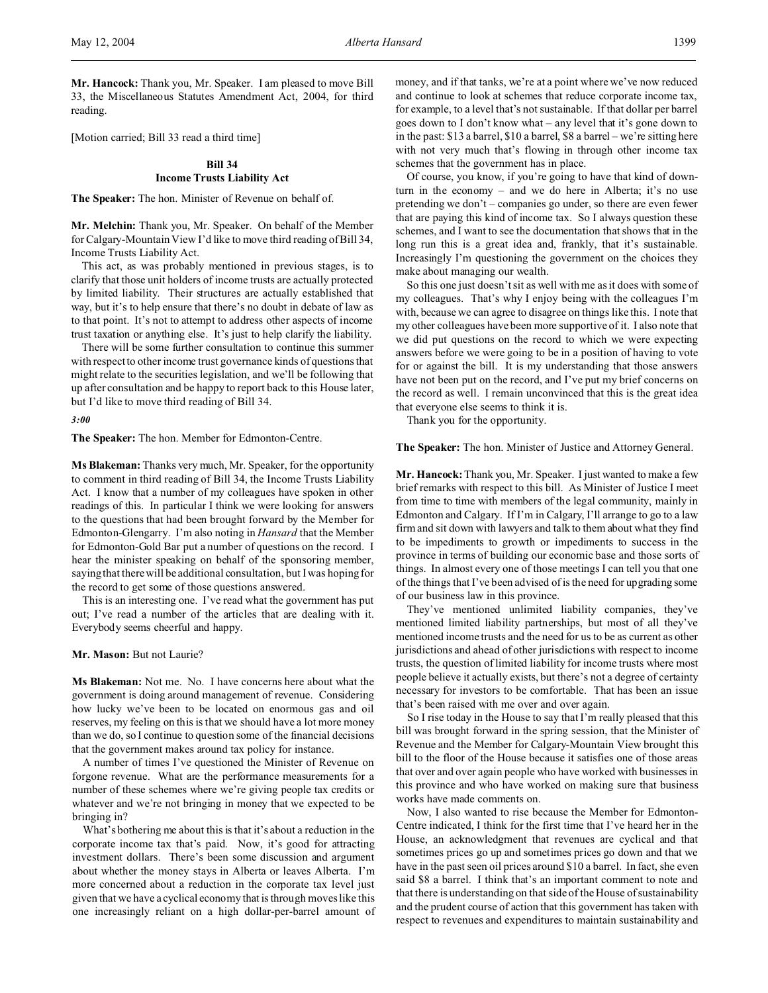**Mr. Hancock:** Thank you, Mr. Speaker. I am pleased to move Bill 33, the Miscellaneous Statutes Amendment Act, 2004, for third reading.

[Motion carried; Bill 33 read a third time]

# **Bill 34 Income Trusts Liability Act**

**The Speaker:** The hon. Minister of Revenue on behalf of.

**Mr. Melchin:** Thank you, Mr. Speaker. On behalf of the Member for Calgary-Mountain View I'd like to move third reading of Bill 34, Income Trusts Liability Act.

This act, as was probably mentioned in previous stages, is to clarify that those unit holders of income trusts are actually protected by limited liability. Their structures are actually established that way, but it's to help ensure that there's no doubt in debate of law as to that point. It's not to attempt to address other aspects of income trust taxation or anything else. It's just to help clarify the liability.

There will be some further consultation to continue this summer with respect to other income trust governance kinds of questions that might relate to the securities legislation, and we'll be following that up after consultation and be happy to report back to this House later, but I'd like to move third reading of Bill 34.

*3:00*

**The Speaker:** The hon. Member for Edmonton-Centre.

**Ms Blakeman:** Thanks very much, Mr. Speaker, for the opportunity to comment in third reading of Bill 34, the Income Trusts Liability Act. I know that a number of my colleagues have spoken in other readings of this. In particular I think we were looking for answers to the questions that had been brought forward by the Member for Edmonton-Glengarry. I'm also noting in *Hansard* that the Member for Edmonton-Gold Bar put a number of questions on the record. I hear the minister speaking on behalf of the sponsoring member, saying that there will be additional consultation, but I was hoping for the record to get some of those questions answered.

This is an interesting one. I've read what the government has put out; I've read a number of the articles that are dealing with it. Everybody seems cheerful and happy.

#### **Mr. Mason:** But not Laurie?

**Ms Blakeman:** Not me. No. I have concerns here about what the government is doing around management of revenue. Considering how lucky we've been to be located on enormous gas and oil reserves, my feeling on this is that we should have a lot more money than we do, so I continue to question some of the financial decisions that the government makes around tax policy for instance.

A number of times I've questioned the Minister of Revenue on forgone revenue. What are the performance measurements for a number of these schemes where we're giving people tax credits or whatever and we're not bringing in money that we expected to be bringing in?

What's bothering me about this is that it's about a reduction in the corporate income tax that's paid. Now, it's good for attracting investment dollars. There's been some discussion and argument about whether the money stays in Alberta or leaves Alberta. I'm more concerned about a reduction in the corporate tax level just given that we have a cyclical economy that is through moves like this one increasingly reliant on a high dollar-per-barrel amount of money, and if that tanks, we're at a point where we've now reduced and continue to look at schemes that reduce corporate income tax, for example, to a level that's not sustainable. If that dollar per barrel goes down to I don't know what – any level that it's gone down to in the past: \$13 a barrel, \$10 a barrel, \$8 a barrel – we're sitting here with not very much that's flowing in through other income tax schemes that the government has in place.

Of course, you know, if you're going to have that kind of downturn in the economy – and we do here in Alberta; it's no use pretending we don't – companies go under, so there are even fewer that are paying this kind of income tax. So I always question these schemes, and I want to see the documentation that shows that in the long run this is a great idea and, frankly, that it's sustainable. Increasingly I'm questioning the government on the choices they make about managing our wealth.

So this one just doesn't sit as well with me as it does with some of my colleagues. That's why I enjoy being with the colleagues I'm with, because we can agree to disagree on things like this. I note that my other colleagues have been more supportive of it. I also note that we did put questions on the record to which we were expecting answers before we were going to be in a position of having to vote for or against the bill. It is my understanding that those answers have not been put on the record, and I've put my brief concerns on the record as well. I remain unconvinced that this is the great idea that everyone else seems to think it is.

Thank you for the opportunity.

**The Speaker:** The hon. Minister of Justice and Attorney General.

**Mr. Hancock:** Thank you, Mr. Speaker. I just wanted to make a few brief remarks with respect to this bill. As Minister of Justice I meet from time to time with members of the legal community, mainly in Edmonton and Calgary. If I'm in Calgary, I'll arrange to go to a law firm and sit down with lawyers and talk to them about what they find to be impediments to growth or impediments to success in the province in terms of building our economic base and those sorts of things. In almost every one of those meetings I can tell you that one of the things that I've been advised of is the need for upgrading some of our business law in this province.

They've mentioned unlimited liability companies, they've mentioned limited liability partnerships, but most of all they've mentioned income trusts and the need for us to be as current as other jurisdictions and ahead of other jurisdictions with respect to income trusts, the question of limited liability for income trusts where most people believe it actually exists, but there's not a degree of certainty necessary for investors to be comfortable. That has been an issue that's been raised with me over and over again.

So I rise today in the House to say that I'm really pleased that this bill was brought forward in the spring session, that the Minister of Revenue and the Member for Calgary-Mountain View brought this bill to the floor of the House because it satisfies one of those areas that over and over again people who have worked with businesses in this province and who have worked on making sure that business works have made comments on.

Now, I also wanted to rise because the Member for Edmonton-Centre indicated, I think for the first time that I've heard her in the House, an acknowledgment that revenues are cyclical and that sometimes prices go up and sometimes prices go down and that we have in the past seen oil prices around \$10 a barrel. In fact, she even said \$8 a barrel. I think that's an important comment to note and that there is understanding on that side of the House of sustainability and the prudent course of action that this government has taken with respect to revenues and expenditures to maintain sustainability and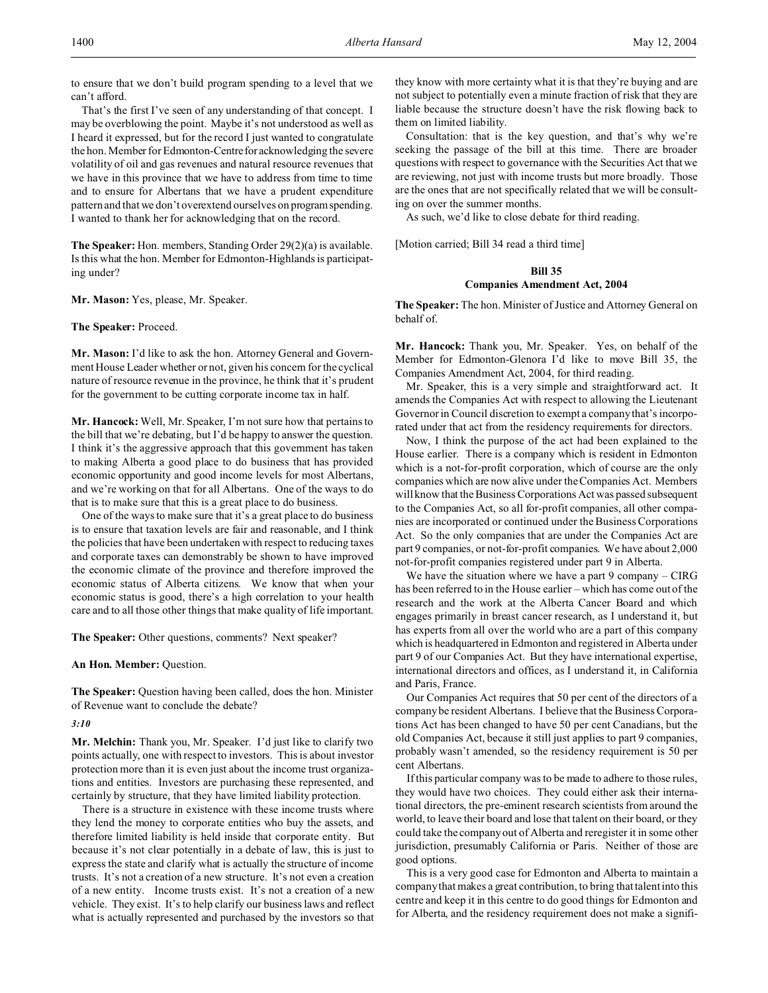to ensure that we don't build program spending to a level that we can't afford.

That's the first I've seen of any understanding of that concept. I may be overblowing the point. Maybe it's not understood as well as I heard it expressed, but for the record I just wanted to congratulate the hon. Member for Edmonton-Centrefor acknowledging the severe volatility of oil and gas revenues and natural resource revenues that we have in this province that we have to address from time to time and to ensure for Albertans that we have a prudent expenditure pattern and that we don't overextend ourselves on program spending. I wanted to thank her for acknowledging that on the record.

**The Speaker:** Hon. members, Standing Order 29(2)(a) is available. Is this what the hon. Member for Edmonton-Highlands is participating under?

**Mr. Mason:** Yes, please, Mr. Speaker.

#### **The Speaker:** Proceed.

**Mr. Mason:** I'd like to ask the hon. Attorney General and Government House Leader whether or not, given his concern for the cyclical nature of resource revenue in the province, he think that it's prudent for the government to be cutting corporate income tax in half.

**Mr. Hancock:** Well, Mr. Speaker, I'm not sure how that pertains to the bill that we're debating, but I'd be happy to answer the question. I think it's the aggressive approach that this government has taken to making Alberta a good place to do business that has provided economic opportunity and good income levels for most Albertans, and we're working on that for all Albertans. One of the ways to do that is to make sure that this is a great place to do business.

One of the ways to make sure that it's a great place to do business is to ensure that taxation levels are fair and reasonable, and I think the policies that have been undertaken with respect to reducing taxes and corporate taxes can demonstrably be shown to have improved the economic climate of the province and therefore improved the economic status of Alberta citizens. We know that when your economic status is good, there's a high correlation to your health care and to all those other things that make quality of life important.

**The Speaker:** Other questions, comments? Next speaker?

# **An Hon. Member:** Question.

**The Speaker:** Question having been called, does the hon. Minister of Revenue want to conclude the debate?

#### *3:10*

**Mr. Melchin:** Thank you, Mr. Speaker. I'd just like to clarify two points actually, one with respect to investors. This is about investor protection more than it is even just about the income trust organizations and entities. Investors are purchasing these represented, and certainly by structure, that they have limited liability protection.

There is a structure in existence with these income trusts where they lend the money to corporate entities who buy the assets, and therefore limited liability is held inside that corporate entity. But because it's not clear potentially in a debate of law, this is just to express the state and clarify what is actually the structure of income trusts. It's not a creation of a new structure. It's not even a creation of a new entity. Income trusts exist. It's not a creation of a new vehicle. They exist. It's to help clarify our business laws and reflect what is actually represented and purchased by the investors so that

they know with more certainty what it is that they're buying and are not subject to potentially even a minute fraction of risk that they are liable because the structure doesn't have the risk flowing back to them on limited liability.

Consultation: that is the key question, and that's why we're seeking the passage of the bill at this time. There are broader questions with respect to governance with the Securities Act that we are reviewing, not just with income trusts but more broadly. Those are the ones that are not specifically related that we will be consulting on over the summer months.

As such, we'd like to close debate for third reading.

[Motion carried; Bill 34 read a third time]

#### **Bill 35**

### **Companies Amendment Act, 2004**

**The Speaker:** The hon. Minister of Justice and Attorney General on behalf of.

**Mr. Hancock:** Thank you, Mr. Speaker. Yes, on behalf of the Member for Edmonton-Glenora I'd like to move Bill 35, the Companies Amendment Act, 2004, for third reading.

Mr. Speaker, this is a very simple and straightforward act. It amends the Companies Act with respect to allowing the Lieutenant Governor in Council discretion to exempt a company that's incorporated under that act from the residency requirements for directors.

Now, I think the purpose of the act had been explained to the House earlier. There is a company which is resident in Edmonton which is a not-for-profit corporation, which of course are the only companies which are now alive under the Companies Act. Members will know that the Business Corporations Act was passed subsequent to the Companies Act, so all for-profit companies, all other companies are incorporated or continued under the Business Corporations Act. So the only companies that are under the Companies Act are part 9 companies, or not-for-profit companies. We have about 2,000 not-for-profit companies registered under part 9 in Alberta.

We have the situation where we have a part 9 company – CIRG has been referred to in the House earlier – which has come out of the research and the work at the Alberta Cancer Board and which engages primarily in breast cancer research, as I understand it, but has experts from all over the world who are a part of this company which is headquartered in Edmonton and registered in Alberta under part 9 of our Companies Act. But they have international expertise, international directors and offices, as I understand it, in California and Paris, France.

Our Companies Act requires that 50 per cent of the directors of a company be resident Albertans. I believe that the Business Corporations Act has been changed to have 50 per cent Canadians, but the old Companies Act, because it still just applies to part 9 companies, probably wasn't amended, so the residency requirement is 50 per cent Albertans.

If this particular company was to be made to adhere to those rules, they would have two choices. They could either ask their international directors, the pre-eminent research scientists from around the world, to leave their board and lose that talent on their board, or they could take the company out of Alberta and reregister it in some other jurisdiction, presumably California or Paris. Neither of those are good options.

This is a very good case for Edmonton and Alberta to maintain a company that makes a great contribution, to bring that talent into this centre and keep it in this centre to do good things for Edmonton and for Alberta, and the residency requirement does not make a signifi-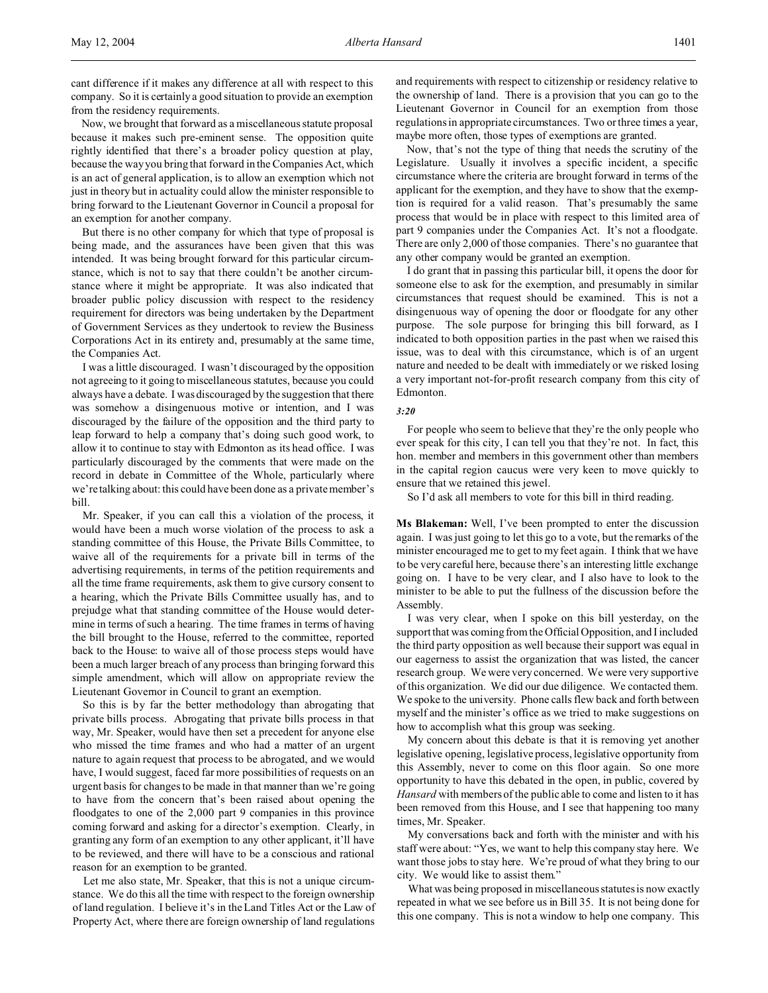Now, we brought that forward as a miscellaneous statute proposal because it makes such pre-eminent sense. The opposition quite rightly identified that there's a broader policy question at play, because the way you bring that forward in the Companies Act, which is an act of general application, is to allow an exemption which not just in theory but in actuality could allow the minister responsible to bring forward to the Lieutenant Governor in Council a proposal for an exemption for another company.

But there is no other company for which that type of proposal is being made, and the assurances have been given that this was intended. It was being brought forward for this particular circumstance, which is not to say that there couldn't be another circumstance where it might be appropriate. It was also indicated that broader public policy discussion with respect to the residency requirement for directors was being undertaken by the Department of Government Services as they undertook to review the Business Corporations Act in its entirety and, presumably at the same time, the Companies Act.

I was a little discouraged. I wasn't discouraged by the opposition not agreeing to it going to miscellaneous statutes, because you could always have a debate. I was discouraged by the suggestion that there was somehow a disingenuous motive or intention, and I was discouraged by the failure of the opposition and the third party to leap forward to help a company that's doing such good work, to allow it to continue to stay with Edmonton as its head office. I was particularly discouraged by the comments that were made on the record in debate in Committee of the Whole, particularly where we're talking about: this could have been done as a private member's bill.

Mr. Speaker, if you can call this a violation of the process, it would have been a much worse violation of the process to ask a standing committee of this House, the Private Bills Committee, to waive all of the requirements for a private bill in terms of the advertising requirements, in terms of the petition requirements and all the time frame requirements, ask them to give cursory consent to a hearing, which the Private Bills Committee usually has, and to prejudge what that standing committee of the House would determine in terms of such a hearing. The time frames in terms of having the bill brought to the House, referred to the committee, reported back to the House: to waive all of those process steps would have been a much larger breach of any process than bringing forward this simple amendment, which will allow on appropriate review the Lieutenant Governor in Council to grant an exemption.

So this is by far the better methodology than abrogating that private bills process. Abrogating that private bills process in that way, Mr. Speaker, would have then set a precedent for anyone else who missed the time frames and who had a matter of an urgent nature to again request that process to be abrogated, and we would have, I would suggest, faced far more possibilities of requests on an urgent basis for changes to be made in that manner than we're going to have from the concern that's been raised about opening the floodgates to one of the 2,000 part 9 companies in this province coming forward and asking for a director's exemption. Clearly, in granting any form of an exemption to any other applicant, it'll have to be reviewed, and there will have to be a conscious and rational reason for an exemption to be granted.

Let me also state, Mr. Speaker, that this is not a unique circumstance. We do this all the time with respect to the foreign ownership of land regulation. I believe it's in the Land Titles Act or the Law of Property Act, where there are foreign ownership of land regulations and requirements with respect to citizenship or residency relative to the ownership of land. There is a provision that you can go to the Lieutenant Governor in Council for an exemption from those regulations in appropriate circumstances. Two or three times a year, maybe more often, those types of exemptions are granted.

Now, that's not the type of thing that needs the scrutiny of the Legislature. Usually it involves a specific incident, a specific circumstance where the criteria are brought forward in terms of the applicant for the exemption, and they have to show that the exemption is required for a valid reason. That's presumably the same process that would be in place with respect to this limited area of part 9 companies under the Companies Act. It's not a floodgate. There are only 2,000 of those companies. There's no guarantee that any other company would be granted an exemption.

I do grant that in passing this particular bill, it opens the door for someone else to ask for the exemption, and presumably in similar circumstances that request should be examined. This is not a disingenuous way of opening the door or floodgate for any other purpose. The sole purpose for bringing this bill forward, as I indicated to both opposition parties in the past when we raised this issue, was to deal with this circumstance, which is of an urgent nature and needed to be dealt with immediately or we risked losing a very important not-for-profit research company from this city of Edmonton.

### *3:20*

For people who seem to believe that they're the only people who ever speak for this city, I can tell you that they're not. In fact, this hon. member and members in this government other than members in the capital region caucus were very keen to move quickly to ensure that we retained this jewel.

So I'd ask all members to vote for this bill in third reading.

**Ms Blakeman:** Well, I've been prompted to enter the discussion again. I was just going to let this go to a vote, but the remarks of the minister encouraged me to get to my feet again. I think that we have to be very careful here, because there's an interesting little exchange going on. I have to be very clear, and I also have to look to the minister to be able to put the fullness of the discussion before the Assembly.

I was very clear, when I spoke on this bill yesterday, on the support that was coming from the Official Opposition, and I included the third party opposition as well because their support was equal in our eagerness to assist the organization that was listed, the cancer research group. We were very concerned. We were very supportive of this organization. We did our due diligence. We contacted them. We spoke to the university. Phone calls flew back and forth between myself and the minister's office as we tried to make suggestions on how to accomplish what this group was seeking.

My concern about this debate is that it is removing yet another legislative opening, legislative process, legislative opportunity from this Assembly, never to come on this floor again. So one more opportunity to have this debated in the open, in public, covered by *Hansard* with members of the public able to come and listen to it has been removed from this House, and I see that happening too many times, Mr. Speaker.

My conversations back and forth with the minister and with his staff were about: "Yes, we want to help this company stay here. We want those jobs to stay here. We're proud of what they bring to our city. We would like to assist them."

What was being proposed in miscellaneous statutes is now exactly repeated in what we see before us in Bill 35. It is not being done for this one company. This is not a window to help one company. This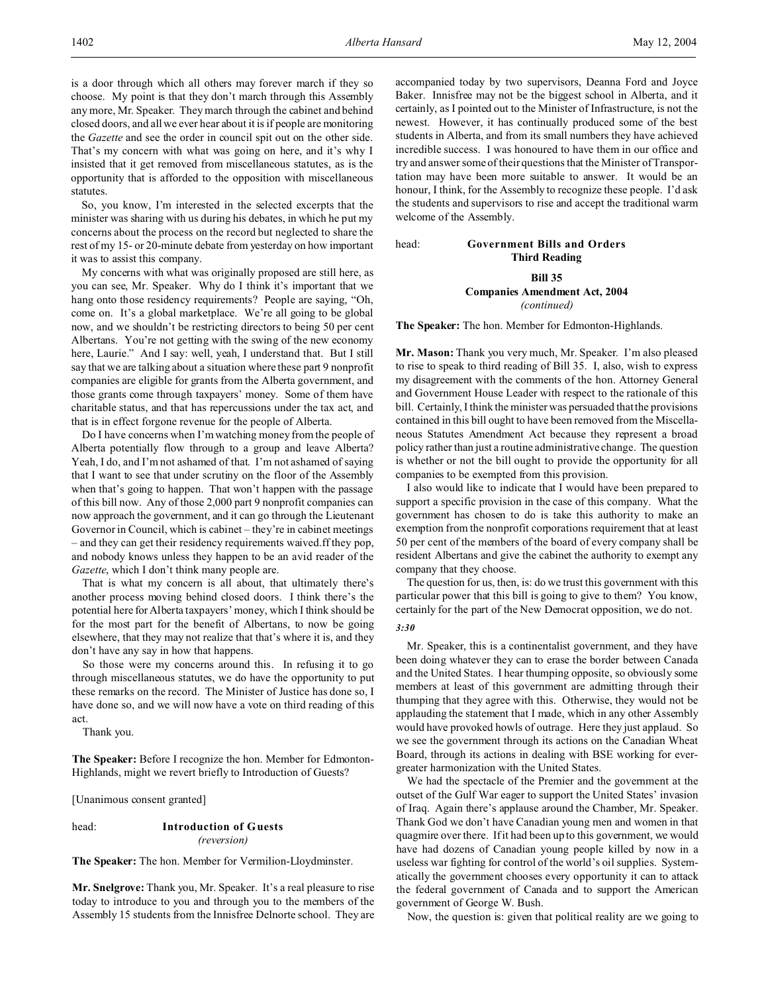is a door through which all others may forever march if they so choose. My point is that they don't march through this Assembly any more, Mr. Speaker. They march through the cabinet and behind closed doors, and all we ever hear about it is if people are monitoring the *Gazette* and see the order in council spit out on the other side. That's my concern with what was going on here, and it's why I insisted that it get removed from miscellaneous statutes, as is the opportunity that is afforded to the opposition with miscellaneous statutes.

So, you know, I'm interested in the selected excerpts that the minister was sharing with us during his debates, in which he put my concerns about the process on the record but neglected to share the rest of my 15- or 20-minute debate from yesterday on how important it was to assist this company.

My concerns with what was originally proposed are still here, as you can see, Mr. Speaker. Why do I think it's important that we hang onto those residency requirements? People are saying, "Oh, come on. It's a global marketplace. We're all going to be global now, and we shouldn't be restricting directors to being 50 per cent Albertans. You're not getting with the swing of the new economy here, Laurie." And I say: well, yeah, I understand that. But I still say that we are talking about a situation where these part 9 nonprofit companies are eligible for grants from the Alberta government, and those grants come through taxpayers' money. Some of them have charitable status, and that has repercussions under the tax act, and that is in effect forgone revenue for the people of Alberta.

Do I have concerns when I'm watching money from the people of Alberta potentially flow through to a group and leave Alberta? Yeah, I do, and I'm not ashamed of that. I'm not ashamed of saying that I want to see that under scrutiny on the floor of the Assembly when that's going to happen. That won't happen with the passage of this bill now. Any of those 2,000 part 9 nonprofit companies can now approach the government, and it can go through the Lieutenant Governor in Council, which is cabinet – they're in cabinet meetings – and they can get their residency requirements waived.ff they pop, and nobody knows unless they happen to be an avid reader of the *Gazette*, which I don't think many people are.

That is what my concern is all about, that ultimately there's another process moving behind closed doors. I think there's the potential here for Alberta taxpayers' money, which I think should be for the most part for the benefit of Albertans, to now be going elsewhere, that they may not realize that that's where it is, and they don't have any say in how that happens.

So those were my concerns around this. In refusing it to go through miscellaneous statutes, we do have the opportunity to put these remarks on the record. The Minister of Justice has done so, I have done so, and we will now have a vote on third reading of this act.

Thank you.

**The Speaker:** Before I recognize the hon. Member for Edmonton-Highlands, might we revert briefly to Introduction of Guests?

[Unanimous consent granted]

head: **Introduction of Guests** *(reversion)*

**The Speaker:** The hon. Member for Vermilion-Lloydminster.

**Mr. Snelgrove:** Thank you, Mr. Speaker. It's a real pleasure to rise today to introduce to you and through you to the members of the Assembly 15 students from the Innisfree Delnorte school. They are accompanied today by two supervisors, Deanna Ford and Joyce Baker. Innisfree may not be the biggest school in Alberta, and it certainly, as I pointed out to the Minister of Infrastructure, is not the newest. However, it has continually produced some of the best students in Alberta, and from its small numbers they have achieved incredible success. I was honoured to have them in our office and try and answer some of their questions that the Minister of Transportation may have been more suitable to answer. It would be an honour, I think, for the Assembly to recognize these people. I'd ask the students and supervisors to rise and accept the traditional warm welcome of the Assembly.

# head: **Government Bills and Orders Third Reading**

# **Bill 35 Companies Amendment Act, 2004** *(continued)*

**The Speaker:** The hon. Member for Edmonton-Highlands.

**Mr. Mason:** Thank you very much, Mr. Speaker. I'm also pleased to rise to speak to third reading of Bill 35. I, also, wish to express my disagreement with the comments of the hon. Attorney General and Government House Leader with respect to the rationale of this bill. Certainly, I think the minister was persuaded that the provisions contained in this bill ought to have been removed from the Miscellaneous Statutes Amendment Act because they represent a broad policy rather than just a routine administrative change. The question is whether or not the bill ought to provide the opportunity for all companies to be exempted from this provision.

I also would like to indicate that I would have been prepared to support a specific provision in the case of this company. What the government has chosen to do is take this authority to make an exemption from the nonprofit corporations requirement that at least 50 per cent of the members of the board of every company shall be resident Albertans and give the cabinet the authority to exempt any company that they choose.

The question for us, then, is: do we trust this government with this particular power that this bill is going to give to them? You know, certainly for the part of the New Democrat opposition, we do not.

#### *3:30*

Mr. Speaker, this is a continentalist government, and they have been doing whatever they can to erase the border between Canada and the United States. I hear thumping opposite, so obviously some members at least of this government are admitting through their thumping that they agree with this. Otherwise, they would not be applauding the statement that I made, which in any other Assembly would have provoked howls of outrage. Here they just applaud. So we see the government through its actions on the Canadian Wheat Board, through its actions in dealing with BSE working for evergreater harmonization with the United States.

We had the spectacle of the Premier and the government at the outset of the Gulf War eager to support the United States' invasion of Iraq. Again there's applause around the Chamber, Mr. Speaker. Thank God we don't have Canadian young men and women in that quagmire over there. If it had been up to this government, we would have had dozens of Canadian young people killed by now in a useless war fighting for control of the world's oil supplies. Systematically the government chooses every opportunity it can to attack the federal government of Canada and to support the American government of George W. Bush.

Now, the question is: given that political reality are we going to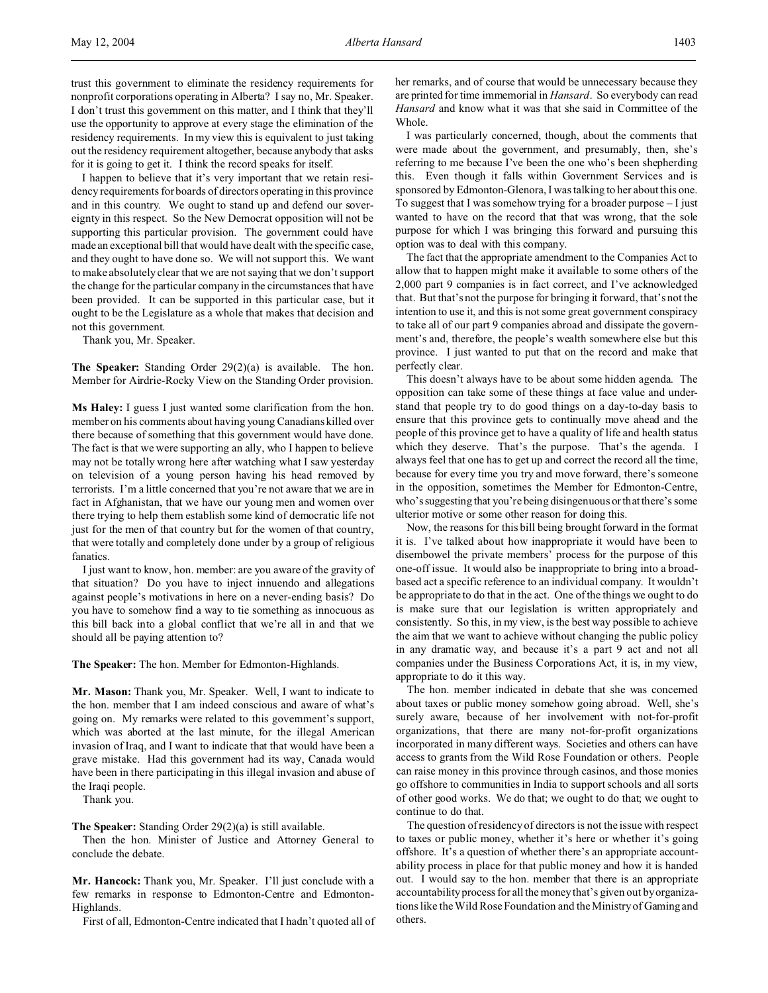trust this government to eliminate the residency requirements for nonprofit corporations operating in Alberta? I say no, Mr. Speaker. I don't trust this government on this matter, and I think that they'll use the opportunity to approve at every stage the elimination of the residency requirements. In my view this is equivalent to just taking out the residency requirement altogether, because anybody that asks for it is going to get it. I think the record speaks for itself.

I happen to believe that it's very important that we retain residency requirements for boards of directors operating in this province and in this country. We ought to stand up and defend our sovereignty in this respect. So the New Democrat opposition will not be supporting this particular provision. The government could have made an exceptional bill that would have dealt with the specific case, and they ought to have done so. We will not support this. We want to make absolutely clear that we are not saying that we don't support the change for the particular company in the circumstances that have been provided. It can be supported in this particular case, but it ought to be the Legislature as a whole that makes that decision and not this government.

Thank you, Mr. Speaker.

**The Speaker:** Standing Order 29(2)(a) is available. The hon. Member for Airdrie-Rocky View on the Standing Order provision.

**Ms Haley:** I guess I just wanted some clarification from the hon. member on his comments about having young Canadians killed over there because of something that this government would have done. The fact is that we were supporting an ally, who I happen to believe may not be totally wrong here after watching what I saw yesterday on television of a young person having his head removed by terrorists. I'm a little concerned that you're not aware that we are in fact in Afghanistan, that we have our young men and women over there trying to help them establish some kind of democratic life not just for the men of that country but for the women of that country, that were totally and completely done under by a group of religious fanatics.

I just want to know, hon. member: are you aware of the gravity of that situation? Do you have to inject innuendo and allegations against people's motivations in here on a never-ending basis? Do you have to somehow find a way to tie something as innocuous as this bill back into a global conflict that we're all in and that we should all be paying attention to?

**The Speaker:** The hon. Member for Edmonton-Highlands.

**Mr. Mason:** Thank you, Mr. Speaker. Well, I want to indicate to the hon. member that I am indeed conscious and aware of what's going on. My remarks were related to this government's support, which was aborted at the last minute, for the illegal American invasion of Iraq, and I want to indicate that that would have been a grave mistake. Had this government had its way, Canada would have been in there participating in this illegal invasion and abuse of the Iraqi people.

Thank you.

**The Speaker:** Standing Order 29(2)(a) is still available.

Then the hon. Minister of Justice and Attorney General to conclude the debate.

**Mr. Hancock:** Thank you, Mr. Speaker. I'll just conclude with a few remarks in response to Edmonton-Centre and Edmonton-Highlands.

First of all, Edmonton-Centre indicated that I hadn't quoted all of

her remarks, and of course that would be unnecessary because they are printed for time immemorial in *Hansard*. So everybody can read *Hansard* and know what it was that she said in Committee of the Whole.

I was particularly concerned, though, about the comments that were made about the government, and presumably, then, she's referring to me because I've been the one who's been shepherding this. Even though it falls within Government Services and is sponsored by Edmonton-Glenora, I was talking to her about this one. To suggest that I was somehow trying for a broader purpose – I just wanted to have on the record that that was wrong, that the sole purpose for which I was bringing this forward and pursuing this option was to deal with this company.

The fact that the appropriate amendment to the Companies Act to allow that to happen might make it available to some others of the 2,000 part 9 companies is in fact correct, and I've acknowledged that. But that's not the purpose for bringing it forward, that's not the intention to use it, and this is not some great government conspiracy to take all of our part 9 companies abroad and dissipate the government's and, therefore, the people's wealth somewhere else but this province. I just wanted to put that on the record and make that perfectly clear.

This doesn't always have to be about some hidden agenda. The opposition can take some of these things at face value and understand that people try to do good things on a day-to-day basis to ensure that this province gets to continually move ahead and the people of this province get to have a quality of life and health status which they deserve. That's the purpose. That's the agenda. I always feel that one has to get up and correct the record all the time, because for every time you try and move forward, there's someone in the opposition, sometimes the Member for Edmonton-Centre, who'ssuggesting that you're being disingenuous or that there's some ulterior motive or some other reason for doing this.

Now, the reasons for this bill being brought forward in the format it is. I've talked about how inappropriate it would have been to disembowel the private members' process for the purpose of this one-off issue. It would also be inappropriate to bring into a broadbased act a specific reference to an individual company. It wouldn't be appropriate to do that in the act. One of the things we ought to do is make sure that our legislation is written appropriately and consistently. So this, in my view, is the best way possible to achieve the aim that we want to achieve without changing the public policy in any dramatic way, and because it's a part 9 act and not all companies under the Business Corporations Act, it is, in my view, appropriate to do it this way.

The hon. member indicated in debate that she was concerned about taxes or public money somehow going abroad. Well, she's surely aware, because of her involvement with not-for-profit organizations, that there are many not-for-profit organizations incorporated in many different ways. Societies and others can have access to grants from the Wild Rose Foundation or others. People can raise money in this province through casinos, and those monies go offshore to communities in India to support schools and all sorts of other good works. We do that; we ought to do that; we ought to continue to do that.

The question of residency of directors is not the issue with respect to taxes or public money, whether it's here or whether it's going offshore. It's a question of whether there's an appropriate accountability process in place for that public money and how it is handed out. I would say to the hon. member that there is an appropriate accountability process for all the money that's given out by organizations like the Wild Rose Foundation and the Ministry of Gaming and others.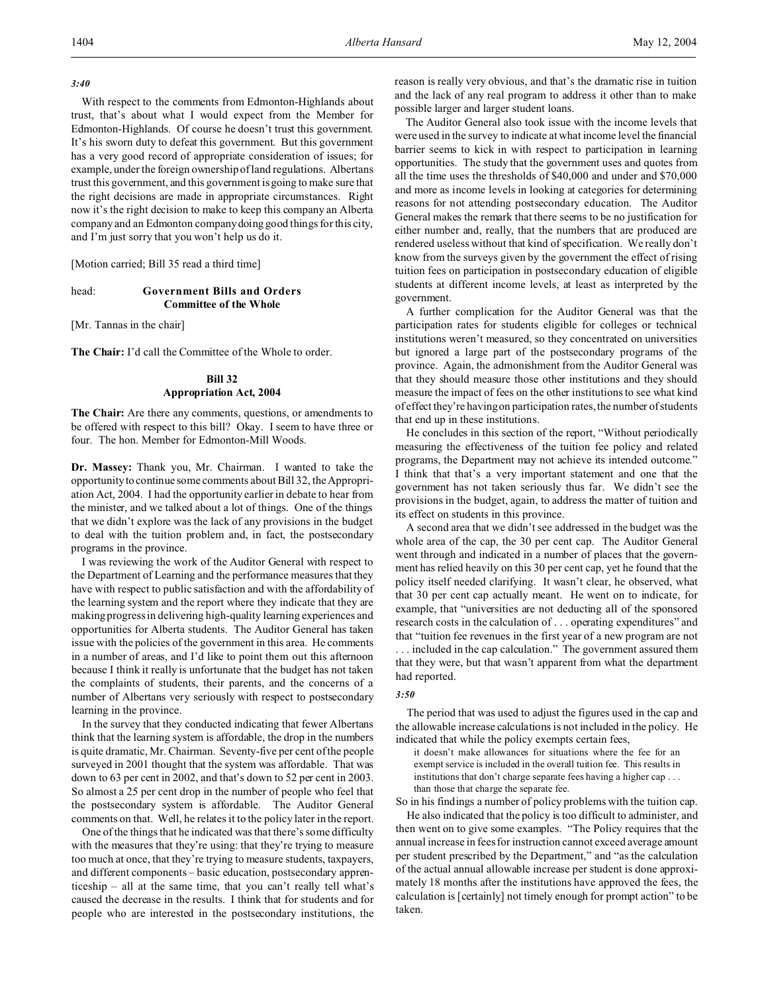### *3:40*

With respect to the comments from Edmonton-Highlands about trust, that's about what I would expect from the Member for Edmonton-Highlands. Of course he doesn't trust this government. It's his sworn duty to defeat this government. But this government has a very good record of appropriate consideration of issues; for example, under the foreign ownership of land regulations. Albertans trust this government, and this government is going to make sure that the right decisions are made in appropriate circumstances. Right now it's the right decision to make to keep this company an Alberta company and an Edmonton company doing good things for this city, and I'm just sorry that you won't help us do it.

[Motion carried; Bill 35 read a third time]

# head: **Government Bills and Orders Committee of the Whole**

[Mr. Tannas in the chair]

**The Chair:** I'd call the Committee of the Whole to order.

# **Bill 32 Appropriation Act, 2004**

**The Chair:** Are there any comments, questions, or amendments to be offered with respect to this bill? Okay. I seem to have three or four. The hon. Member for Edmonton-Mill Woods.

**Dr. Massey:** Thank you, Mr. Chairman. I wanted to take the opportunity to continue some comments about Bill 32, the Appropriation Act, 2004. I had the opportunity earlier in debate to hear from the minister, and we talked about a lot of things. One of the things that we didn't explore was the lack of any provisions in the budget to deal with the tuition problem and, in fact, the postsecondary programs in the province.

I was reviewing the work of the Auditor General with respect to the Department of Learning and the performance measures that they have with respect to public satisfaction and with the affordability of the learning system and the report where they indicate that they are making progress in delivering high-quality learning experiences and opportunities for Alberta students. The Auditor General has taken issue with the policies of the government in this area. He comments in a number of areas, and I'd like to point them out this afternoon because I think it really is unfortunate that the budget has not taken the complaints of students, their parents, and the concerns of a number of Albertans very seriously with respect to postsecondary learning in the province.

In the survey that they conducted indicating that fewer Albertans think that the learning system is affordable, the drop in the numbers is quite dramatic, Mr. Chairman. Seventy-five per cent of the people surveyed in 2001 thought that the system was affordable. That was down to 63 per cent in 2002, and that's down to 52 per cent in 2003. So almost a 25 per cent drop in the number of people who feel that the postsecondary system is affordable. The Auditor General comments on that. Well, he relates it to the policy later in the report.

One of the things that he indicated was that there's some difficulty with the measures that they're using: that they're trying to measure too much at once, that they're trying to measure students, taxpayers, and different components – basic education, postsecondary apprenticeship – all at the same time, that you can't really tell what's caused the decrease in the results. I think that for students and for people who are interested in the postsecondary institutions, the

reason is really very obvious, and that's the dramatic rise in tuition and the lack of any real program to address it other than to make possible larger and larger student loans.

The Auditor General also took issue with the income levels that were used in the survey to indicate at what income level the financial barrier seems to kick in with respect to participation in learning opportunities. The study that the government uses and quotes from all the time uses the thresholds of \$40,000 and under and \$70,000 and more as income levels in looking at categories for determining reasons for not attending postsecondary education. The Auditor General makes the remark that there seems to be no justification for either number and, really, that the numbers that are produced are rendered useless without that kind of specification. We really don't know from the surveys given by the government the effect of rising tuition fees on participation in postsecondary education of eligible students at different income levels, at least as interpreted by the government.

A further complication for the Auditor General was that the participation rates for students eligible for colleges or technical institutions weren't measured, so they concentrated on universities but ignored a large part of the postsecondary programs of the province. Again, the admonishment from the Auditor General was that they should measure those other institutions and they should measure the impact of fees on the other institutions to see what kind of effect they're having on participation rates, the number of students that end up in these institutions.

He concludes in this section of the report, "Without periodically measuring the effectiveness of the tuition fee policy and related programs, the Department may not achieve its intended outcome." I think that that's a very important statement and one that the government has not taken seriously thus far. We didn't see the provisions in the budget, again, to address the matter of tuition and its effect on students in this province.

A second area that we didn't see addressed in the budget was the whole area of the cap, the 30 per cent cap. The Auditor General went through and indicated in a number of places that the government has relied heavily on this 30 per cent cap, yet he found that the policy itself needed clarifying. It wasn't clear, he observed, what that 30 per cent cap actually meant. He went on to indicate, for example, that "universities are not deducting all of the sponsored research costs in the calculation of . . . operating expenditures" and that "tuition fee revenues in the first year of a new program are not

. . . included in the cap calculation." The government assured them that they were, but that wasn't apparent from what the department had reported.

#### *3:50*

The period that was used to adjust the figures used in the cap and the allowable increase calculations is not included in the policy. He indicated that while the policy exempts certain fees,

it doesn't make allowances for situations where the fee for an exempt service is included in the overall tuition fee. This results in institutions that don't charge separate fees having a higher cap . . . than those that charge the separate fee.

So in his findings a number of policy problems with the tuition cap.

He also indicated that the policy is too difficult to administer, and then went on to give some examples. "The Policy requires that the annual increase in fees for instruction cannot exceed average amount per student prescribed by the Department," and "as the calculation of the actual annual allowable increase per student is done approximately 18 months after the institutions have approved the fees, the calculation is [certainly] not timely enough for prompt action" to be taken.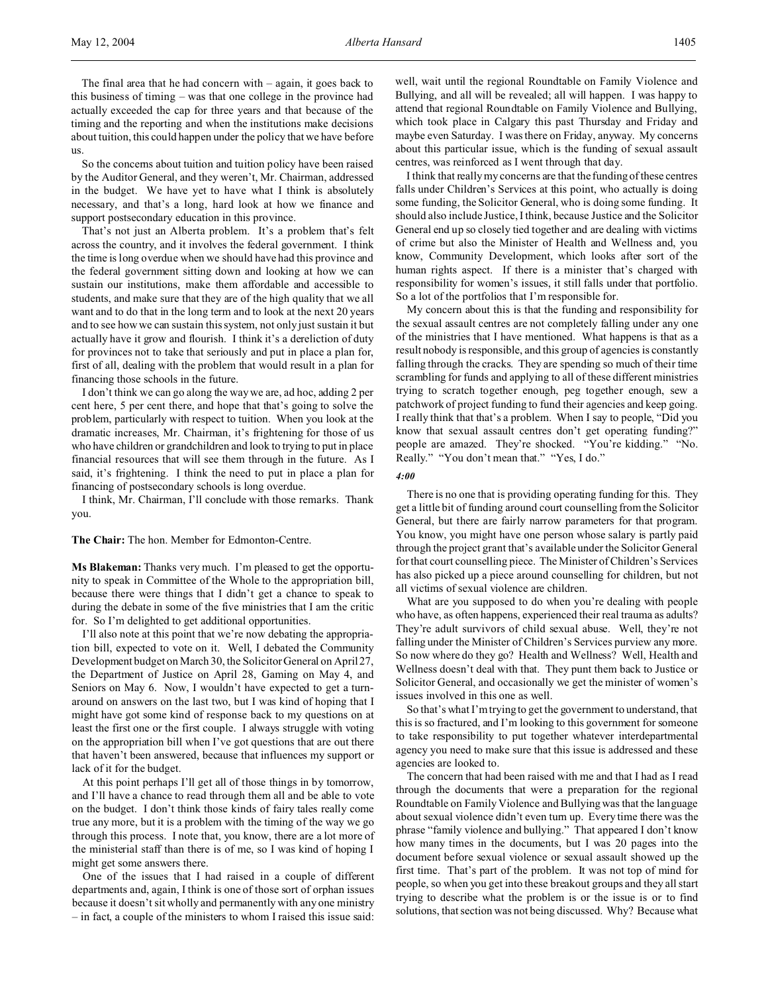So the concerns about tuition and tuition policy have been raised by the Auditor General, and they weren't, Mr. Chairman, addressed in the budget. We have yet to have what I think is absolutely necessary, and that's a long, hard look at how we finance and support postsecondary education in this province.

That's not just an Alberta problem. It's a problem that's felt across the country, and it involves the federal government. I think the time is long overdue when we should have had this province and the federal government sitting down and looking at how we can sustain our institutions, make them affordable and accessible to students, and make sure that they are of the high quality that we all want and to do that in the long term and to look at the next 20 years and to see how we can sustain this system, not only just sustain it but actually have it grow and flourish. I think it's a dereliction of duty for provinces not to take that seriously and put in place a plan for, first of all, dealing with the problem that would result in a plan for financing those schools in the future.

I don't think we can go along the way we are, ad hoc, adding 2 per cent here, 5 per cent there, and hope that that's going to solve the problem, particularly with respect to tuition. When you look at the dramatic increases, Mr. Chairman, it's frightening for those of us who have children or grandchildren and look to trying to put in place financial resources that will see them through in the future. As I said, it's frightening. I think the need to put in place a plan for financing of postsecondary schools is long overdue.

I think, Mr. Chairman, I'll conclude with those remarks. Thank you.

**The Chair:** The hon. Member for Edmonton-Centre.

**Ms Blakeman:** Thanks very much. I'm pleased to get the opportunity to speak in Committee of the Whole to the appropriation bill, because there were things that I didn't get a chance to speak to during the debate in some of the five ministries that I am the critic for. So I'm delighted to get additional opportunities.

I'll also note at this point that we're now debating the appropriation bill, expected to vote on it. Well, I debated the Community Development budget on March 30, the Solicitor General on April 27, the Department of Justice on April 28, Gaming on May 4, and Seniors on May 6. Now, I wouldn't have expected to get a turnaround on answers on the last two, but I was kind of hoping that I might have got some kind of response back to my questions on at least the first one or the first couple. I always struggle with voting on the appropriation bill when I've got questions that are out there that haven't been answered, because that influences my support or lack of it for the budget.

At this point perhaps I'll get all of those things in by tomorrow, and I'll have a chance to read through them all and be able to vote on the budget. I don't think those kinds of fairy tales really come true any more, but it is a problem with the timing of the way we go through this process. I note that, you know, there are a lot more of the ministerial staff than there is of me, so I was kind of hoping I might get some answers there.

One of the issues that I had raised in a couple of different departments and, again, I think is one of those sort of orphan issues because it doesn't sit wholly and permanently with any one ministry – in fact, a couple of the ministers to whom I raised this issue said:

well, wait until the regional Roundtable on Family Violence and Bullying, and all will be revealed; all will happen. I was happy to attend that regional Roundtable on Family Violence and Bullying, which took place in Calgary this past Thursday and Friday and maybe even Saturday. I was there on Friday, anyway. My concerns about this particular issue, which is the funding of sexual assault centres, was reinforced as I went through that day.

I think that really my concerns are that the funding of these centres falls under Children's Services at this point, who actually is doing some funding, the Solicitor General, who is doing some funding. It should also include Justice, I think, because Justice and the Solicitor General end up so closely tied together and are dealing with victims of crime but also the Minister of Health and Wellness and, you know, Community Development, which looks after sort of the human rights aspect. If there is a minister that's charged with responsibility for women's issues, it still falls under that portfolio. So a lot of the portfolios that I'm responsible for.

My concern about this is that the funding and responsibility for the sexual assault centres are not completely falling under any one of the ministries that I have mentioned. What happens is that as a result nobody is responsible, and this group of agencies is constantly falling through the cracks. They are spending so much of their time scrambling for funds and applying to all of these different ministries trying to scratch together enough, peg together enough, sew a patchwork of project funding to fund their agencies and keep going. I really think that that's a problem. When I say to people, "Did you know that sexual assault centres don't get operating funding?" people are amazed. They're shocked. "You're kidding." "No. Really." "You don't mean that." "Yes, I do."

*4:00*

There is no one that is providing operating funding for this. They get a little bit of funding around court counselling from the Solicitor General, but there are fairly narrow parameters for that program. You know, you might have one person whose salary is partly paid through the project grant that's available under the Solicitor General for that court counselling piece. The Minister of Children's Services has also picked up a piece around counselling for children, but not all victims of sexual violence are children.

What are you supposed to do when you're dealing with people who have, as often happens, experienced their real trauma as adults? They're adult survivors of child sexual abuse. Well, they're not falling under the Minister of Children's Services purview any more. So now where do they go? Health and Wellness? Well, Health and Wellness doesn't deal with that. They punt them back to Justice or Solicitor General, and occasionally we get the minister of women's issues involved in this one as well.

So that's what I'm trying to get the government to understand, that this is so fractured, and I'm looking to this government for someone to take responsibility to put together whatever interdepartmental agency you need to make sure that this issue is addressed and these agencies are looked to.

The concern that had been raised with me and that I had as I read through the documents that were a preparation for the regional Roundtable on Family Violence and Bullying was that the language about sexual violence didn't even turn up. Every time there was the phrase "family violence and bullying." That appeared I don't know how many times in the documents, but I was 20 pages into the document before sexual violence or sexual assault showed up the first time. That's part of the problem. It was not top of mind for people, so when you get into these breakout groups and they all start trying to describe what the problem is or the issue is or to find solutions, that section was not being discussed. Why? Because what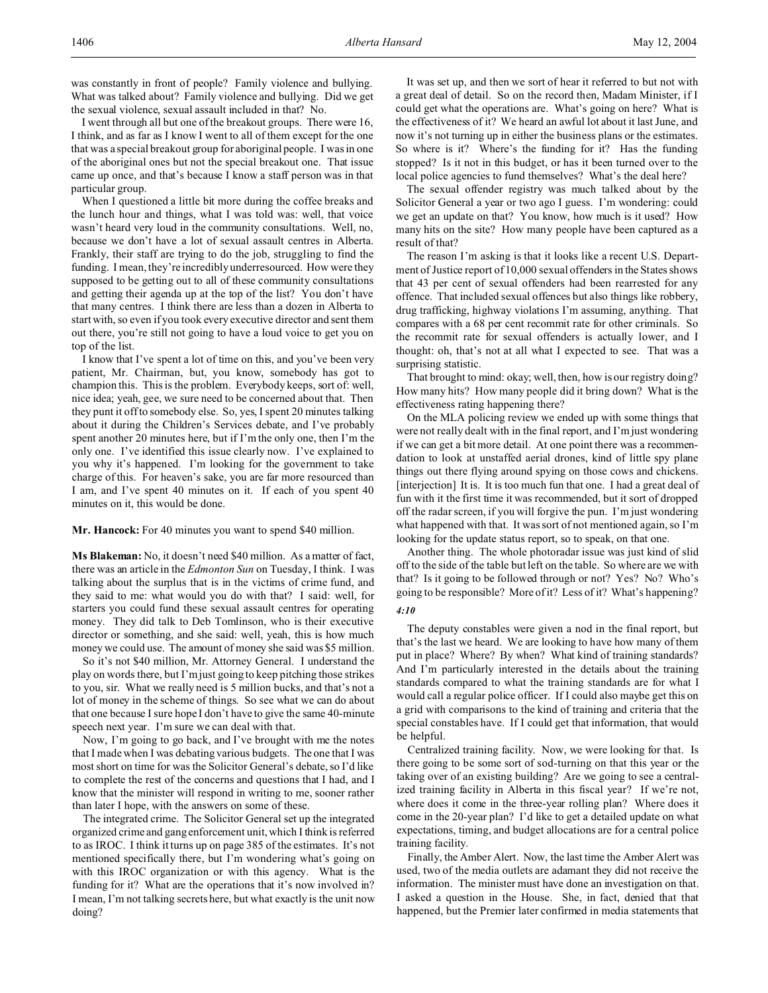was constantly in front of people? Family violence and bullying. What was talked about? Family violence and bullying. Did we get the sexual violence, sexual assault included in that? No.

I went through all but one of the breakout groups. There were 16, I think, and as far as I know I went to all of them except for the one that was a special breakout group for aboriginal people. I was in one of the aboriginal ones but not the special breakout one. That issue came up once, and that's because I know a staff person was in that particular group.

When I questioned a little bit more during the coffee breaks and the lunch hour and things, what I was told was: well, that voice wasn't heard very loud in the community consultations. Well, no, because we don't have a lot of sexual assault centres in Alberta. Frankly, their staff are trying to do the job, struggling to find the funding. I mean, they're incredibly underresourced. How were they supposed to be getting out to all of these community consultations and getting their agenda up at the top of the list? You don't have that many centres. I think there are less than a dozen in Alberta to start with, so even if you took every executive director and sent them out there, you're still not going to have a loud voice to get you on top of the list.

I know that I've spent a lot of time on this, and you've been very patient, Mr. Chairman, but, you know, somebody has got to champion this. This is the problem. Everybody keeps, sort of: well, nice idea; yeah, gee, we sure need to be concerned about that. Then they punt it off to somebody else. So, yes, I spent 20 minutes talking about it during the Children's Services debate, and I've probably spent another 20 minutes here, but if I'm the only one, then I'm the only one. I've identified this issue clearly now. I've explained to you why it's happened. I'm looking for the government to take charge of this. For heaven's sake, you are far more resourced than I am, and I've spent 40 minutes on it. If each of you spent 40 minutes on it, this would be done.

**Mr. Hancock:** For 40 minutes you want to spend \$40 million.

**Ms Blakeman:** No, it doesn't need \$40 million. As a matter of fact, there was an article in the *Edmonton Sun* on Tuesday, I think. I was talking about the surplus that is in the victims of crime fund, and they said to me: what would you do with that? I said: well, for starters you could fund these sexual assault centres for operating money. They did talk to Deb Tomlinson, who is their executive director or something, and she said: well, yeah, this is how much money we could use. The amount of money she said was \$5 million.

So it's not \$40 million, Mr. Attorney General. I understand the play on words there, but I'm just going to keep pitching those strikes to you, sir. What we really need is 5 million bucks, and that's not a lot of money in the scheme of things. So see what we can do about that one because I sure hope I don't have to give the same 40-minute speech next year. I'm sure we can deal with that.

Now, I'm going to go back, and I've brought with me the notes that I made when I was debating various budgets. The one that I was most short on time for was the Solicitor General's debate, so I'd like to complete the rest of the concerns and questions that I had, and I know that the minister will respond in writing to me, sooner rather than later I hope, with the answers on some of these.

The integrated crime. The Solicitor General set up the integrated organized crime and gang enforcement unit, which I think is referred to as IROC. I think it turns up on page 385 of the estimates. It's not mentioned specifically there, but I'm wondering what's going on with this IROC organization or with this agency. What is the funding for it? What are the operations that it's now involved in? I mean, I'm not talking secrets here, but what exactly is the unit now doing?

It was set up, and then we sort of hear it referred to but not with a great deal of detail. So on the record then, Madam Minister, if I could get what the operations are. What's going on here? What is the effectiveness of it? We heard an awful lot about it last June, and now it's not turning up in either the business plans or the estimates. So where is it? Where's the funding for it? Has the funding stopped? Is it not in this budget, or has it been turned over to the local police agencies to fund themselves? What's the deal here?

The sexual offender registry was much talked about by the Solicitor General a year or two ago I guess. I'm wondering: could we get an update on that? You know, how much is it used? How many hits on the site? How many people have been captured as a result of that?

The reason I'm asking is that it looks like a recent U.S. Department of Justice report of 10,000 sexual offenders in the States shows that 43 per cent of sexual offenders had been rearrested for any offence. That included sexual offences but also things like robbery, drug trafficking, highway violations I'm assuming, anything. That compares with a 68 per cent recommit rate for other criminals. So the recommit rate for sexual offenders is actually lower, and I thought: oh, that's not at all what I expected to see. That was a surprising statistic.

That brought to mind: okay; well, then, how is our registry doing? How many hits? How many people did it bring down? What is the effectiveness rating happening there?

On the MLA policing review we ended up with some things that were not really dealt with in the final report, and I'm just wondering if we can get a bit more detail. At one point there was a recommendation to look at unstaffed aerial drones, kind of little spy plane things out there flying around spying on those cows and chickens. [interjection] It is. It is too much fun that one. I had a great deal of fun with it the first time it was recommended, but it sort of dropped off the radar screen, if you will forgive the pun. I'm just wondering what happened with that. It was sort of not mentioned again, so I'm looking for the update status report, so to speak, on that one.

Another thing. The whole photoradar issue was just kind of slid off to the side of the table but left on the table. So where are we with that? Is it going to be followed through or not? Yes? No? Who's going to be responsible? More of it? Less of it? What's happening?

#### *4:10*

The deputy constables were given a nod in the final report, but that's the last we heard. We are looking to have how many of them put in place? Where? By when? What kind of training standards? And I'm particularly interested in the details about the training standards compared to what the training standards are for what I would call a regular police officer. If I could also maybe get this on a grid with comparisons to the kind of training and criteria that the special constables have. If I could get that information, that would be helpful.

Centralized training facility. Now, we were looking for that. Is there going to be some sort of sod-turning on that this year or the taking over of an existing building? Are we going to see a centralized training facility in Alberta in this fiscal year? If we're not, where does it come in the three-year rolling plan? Where does it come in the 20-year plan? I'd like to get a detailed update on what expectations, timing, and budget allocations are for a central police training facility.

Finally, the Amber Alert. Now, the last time the Amber Alert was used, two of the media outlets are adamant they did not receive the information. The minister must have done an investigation on that. I asked a question in the House. She, in fact, denied that that happened, but the Premier later confirmed in media statements that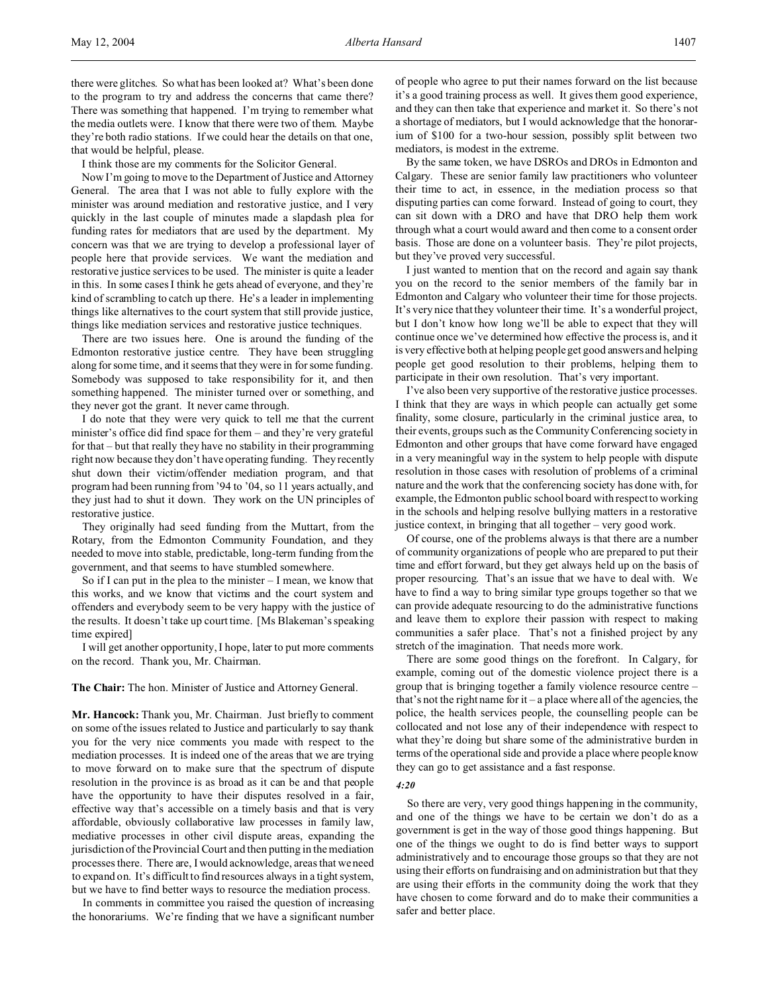there were glitches. So what has been looked at? What's been done to the program to try and address the concerns that came there? There was something that happened. I'm trying to remember what the media outlets were. I know that there were two of them. Maybe they're both radio stations. If we could hear the details on that one, that would be helpful, please.

I think those are my comments for the Solicitor General.

Now I'm going to move to the Department of Justice and Attorney General. The area that I was not able to fully explore with the minister was around mediation and restorative justice, and I very quickly in the last couple of minutes made a slapdash plea for funding rates for mediators that are used by the department. My concern was that we are trying to develop a professional layer of people here that provide services. We want the mediation and restorative justice services to be used. The minister is quite a leader in this. In some cases I think he gets ahead of everyone, and they're kind of scrambling to catch up there. He's a leader in implementing things like alternatives to the court system that still provide justice, things like mediation services and restorative justice techniques.

There are two issues here. One is around the funding of the Edmonton restorative justice centre. They have been struggling along for some time, and it seems that they were in for some funding. Somebody was supposed to take responsibility for it, and then something happened. The minister turned over or something, and they never got the grant. It never came through.

I do note that they were very quick to tell me that the current minister's office did find space for them – and they're very grateful for that – but that really they have no stability in their programming right now because they don't have operating funding. They recently shut down their victim/offender mediation program, and that program had been running from '94 to '04, so 11 years actually, and they just had to shut it down. They work on the UN principles of restorative justice.

They originally had seed funding from the Muttart, from the Rotary, from the Edmonton Community Foundation, and they needed to move into stable, predictable, long-term funding from the government, and that seems to have stumbled somewhere.

So if I can put in the plea to the minister  $-I$  mean, we know that this works, and we know that victims and the court system and offenders and everybody seem to be very happy with the justice of the results. It doesn't take up court time. [Ms Blakeman's speaking time expired]

I will get another opportunity, I hope, later to put more comments on the record. Thank you, Mr. Chairman.

**The Chair:** The hon. Minister of Justice and Attorney General.

**Mr. Hancock:** Thank you, Mr. Chairman. Just briefly to comment on some of the issues related to Justice and particularly to say thank you for the very nice comments you made with respect to the mediation processes. It is indeed one of the areas that we are trying to move forward on to make sure that the spectrum of dispute resolution in the province is as broad as it can be and that people have the opportunity to have their disputes resolved in a fair, effective way that's accessible on a timely basis and that is very affordable, obviously collaborative law processes in family law, mediative processes in other civil dispute areas, expanding the jurisdiction of the Provincial Court and then putting in the mediation processes there. There are, I would acknowledge, areas that we need to expand on. It's difficult to find resources always in a tight system, but we have to find better ways to resource the mediation process.

In comments in committee you raised the question of increasing the honorariums. We're finding that we have a significant number of people who agree to put their names forward on the list because it's a good training process as well. It gives them good experience, and they can then take that experience and market it. So there's not a shortage of mediators, but I would acknowledge that the honorarium of \$100 for a two-hour session, possibly split between two mediators, is modest in the extreme.

By the same token, we have DSROs and DROs in Edmonton and Calgary. These are senior family law practitioners who volunteer their time to act, in essence, in the mediation process so that disputing parties can come forward. Instead of going to court, they can sit down with a DRO and have that DRO help them work through what a court would award and then come to a consent order basis. Those are done on a volunteer basis. They're pilot projects, but they've proved very successful.

I just wanted to mention that on the record and again say thank you on the record to the senior members of the family bar in Edmonton and Calgary who volunteer their time for those projects. It's very nice that they volunteer their time. It's a wonderful project, but I don't know how long we'll be able to expect that they will continue once we've determined how effective the process is, and it is very effective both at helping people get good answers and helping people get good resolution to their problems, helping them to participate in their own resolution. That's very important.

I've also been very supportive of the restorative justice processes. I think that they are ways in which people can actually get some finality, some closure, particularly in the criminal justice area, to their events, groups such as the Community Conferencing society in Edmonton and other groups that have come forward have engaged in a very meaningful way in the system to help people with dispute resolution in those cases with resolution of problems of a criminal nature and the work that the conferencing society has done with, for example, the Edmonton public school board with respect to working in the schools and helping resolve bullying matters in a restorative justice context, in bringing that all together – very good work.

Of course, one of the problems always is that there are a number of community organizations of people who are prepared to put their time and effort forward, but they get always held up on the basis of proper resourcing. That's an issue that we have to deal with. We have to find a way to bring similar type groups together so that we can provide adequate resourcing to do the administrative functions and leave them to explore their passion with respect to making communities a safer place. That's not a finished project by any stretch of the imagination. That needs more work.

There are some good things on the forefront. In Calgary, for example, coming out of the domestic violence project there is a group that is bringing together a family violence resource centre – that's not the right name for it – a place where all of the agencies, the police, the health services people, the counselling people can be collocated and not lose any of their independence with respect to what they're doing but share some of the administrative burden in terms of the operational side and provide a place where people know they can go to get assistance and a fast response.

*4:20*

So there are very, very good things happening in the community, and one of the things we have to be certain we don't do as a government is get in the way of those good things happening. But one of the things we ought to do is find better ways to support administratively and to encourage those groups so that they are not using their efforts on fundraising and on administration but that they are using their efforts in the community doing the work that they have chosen to come forward and do to make their communities a safer and better place.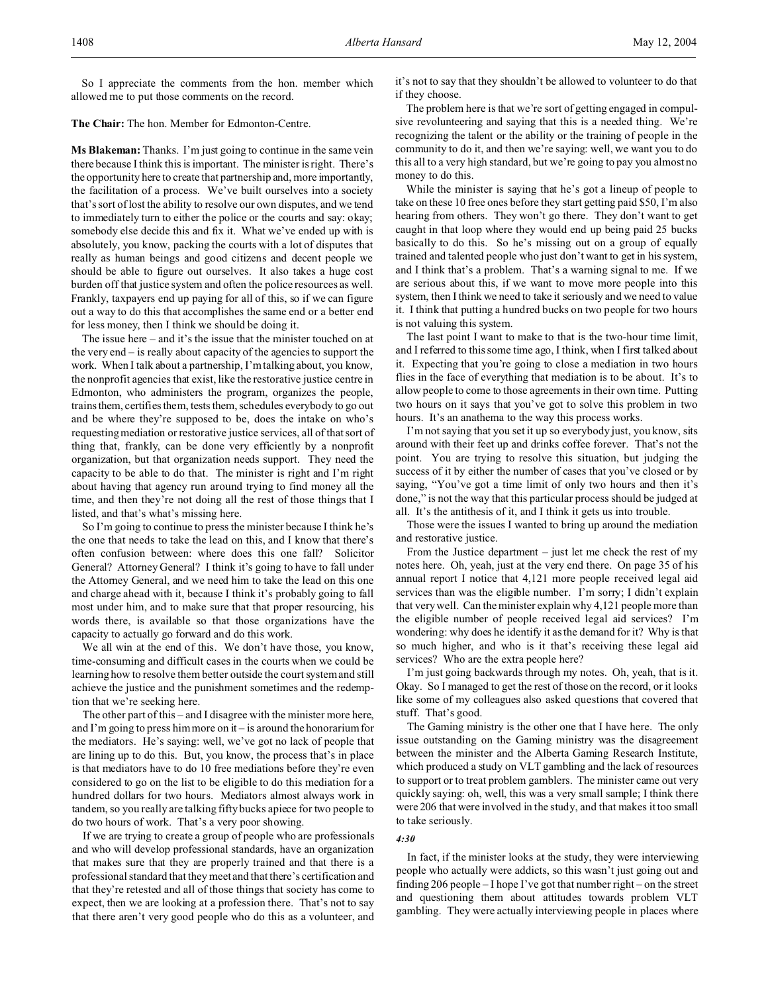So I appreciate the comments from the hon. member which allowed me to put those comments on the record.

**The Chair:** The hon. Member for Edmonton-Centre.

**Ms Blakeman:** Thanks. I'm just going to continue in the same vein there because I think this is important. The minister is right. There's the opportunity here to create that partnership and, more importantly, the facilitation of a process. We've built ourselves into a society that's sort of lost the ability to resolve our own disputes, and we tend to immediately turn to either the police or the courts and say: okay; somebody else decide this and fix it. What we've ended up with is absolutely, you know, packing the courts with a lot of disputes that really as human beings and good citizens and decent people we should be able to figure out ourselves. It also takes a huge cost burden off that justice system and often the police resources as well. Frankly, taxpayers end up paying for all of this, so if we can figure out a way to do this that accomplishes the same end or a better end for less money, then I think we should be doing it.

The issue here – and it's the issue that the minister touched on at the very end – is really about capacity of the agencies to support the work. When I talk about a partnership, I'm talking about, you know, the nonprofit agencies that exist, like the restorative justice centre in Edmonton, who administers the program, organizes the people, trains them, certifies them, tests them, schedules everybody to go out and be where they're supposed to be, does the intake on who's requesting mediation or restorative justice services, all of that sort of thing that, frankly, can be done very efficiently by a nonprofit organization, but that organization needs support. They need the capacity to be able to do that. The minister is right and I'm right about having that agency run around trying to find money all the time, and then they're not doing all the rest of those things that I listed, and that's what's missing here.

So I'm going to continue to press the minister because I think he's the one that needs to take the lead on this, and I know that there's often confusion between: where does this one fall? Solicitor General? Attorney General? I think it's going to have to fall under the Attorney General, and we need him to take the lead on this one and charge ahead with it, because I think it's probably going to fall most under him, and to make sure that that proper resourcing, his words there, is available so that those organizations have the capacity to actually go forward and do this work.

We all win at the end of this. We don't have those, you know, time-consuming and difficult cases in the courts when we could be learning how to resolve them better outside the court system and still achieve the justice and the punishment sometimes and the redemption that we're seeking here.

The other part of this – and I disagree with the minister more here, and I'm going to press him more on it – is around the honorarium for the mediators. He's saying: well, we've got no lack of people that are lining up to do this. But, you know, the process that's in place is that mediators have to do 10 free mediations before they're even considered to go on the list to be eligible to do this mediation for a hundred dollars for two hours. Mediators almost always work in tandem, so you really are talking fifty bucks apiece for two people to do two hours of work. That's a very poor showing.

If we are trying to create a group of people who are professionals and who will develop professional standards, have an organization that makes sure that they are properly trained and that there is a professional standard that they meet and that there's certification and that they're retested and all of those things that society has come to expect, then we are looking at a profession there. That's not to say that there aren't very good people who do this as a volunteer, and it's not to say that they shouldn't be allowed to volunteer to do that if they choose.

The problem here is that we're sort of getting engaged in compulsive revolunteering and saying that this is a needed thing. We're recognizing the talent or the ability or the training of people in the community to do it, and then we're saying: well, we want you to do this all to a very high standard, but we're going to pay you almost no money to do this.

While the minister is saying that he's got a lineup of people to take on these 10 free ones before they start getting paid \$50, I'm also hearing from others. They won't go there. They don't want to get caught in that loop where they would end up being paid 25 bucks basically to do this. So he's missing out on a group of equally trained and talented people who just don't want to get in his system, and I think that's a problem. That's a warning signal to me. If we are serious about this, if we want to move more people into this system, then I think we need to take it seriously and we need to value it. I think that putting a hundred bucks on two people for two hours is not valuing this system.

The last point I want to make to that is the two-hour time limit, and I referred to this some time ago, I think, when I first talked about it. Expecting that you're going to close a mediation in two hours flies in the face of everything that mediation is to be about. It's to allow people to come to those agreements in their own time. Putting two hours on it says that you've got to solve this problem in two hours. It's an anathema to the way this process works.

I'm not saying that you set it up so everybody just, you know, sits around with their feet up and drinks coffee forever. That's not the point. You are trying to resolve this situation, but judging the success of it by either the number of cases that you've closed or by saying, "You've got a time limit of only two hours and then it's done," is not the way that this particular process should be judged at all. It's the antithesis of it, and I think it gets us into trouble.

Those were the issues I wanted to bring up around the mediation and restorative justice.

From the Justice department – just let me check the rest of my notes here. Oh, yeah, just at the very end there. On page 35 of his annual report I notice that 4,121 more people received legal aid services than was the eligible number. I'm sorry; I didn't explain that very well. Can the minister explain why 4,121 people more than the eligible number of people received legal aid services? I'm wondering: why does he identify it as the demand for it? Why is that so much higher, and who is it that's receiving these legal aid services? Who are the extra people here?

I'm just going backwards through my notes. Oh, yeah, that is it. Okay. So I managed to get the rest of those on the record, or it looks like some of my colleagues also asked questions that covered that stuff. That's good.

The Gaming ministry is the other one that I have here. The only issue outstanding on the Gaming ministry was the disagreement between the minister and the Alberta Gaming Research Institute, which produced a study on VLT gambling and the lack of resources to support or to treat problem gamblers. The minister came out very quickly saying: oh, well, this was a very small sample; I think there were 206 that were involved in the study, and that makes it too small to take seriously.

#### *4:30*

In fact, if the minister looks at the study, they were interviewing people who actually were addicts, so this wasn't just going out and finding 206 people – I hope I've got that number right – on the street and questioning them about attitudes towards problem VLT gambling. They were actually interviewing people in places where